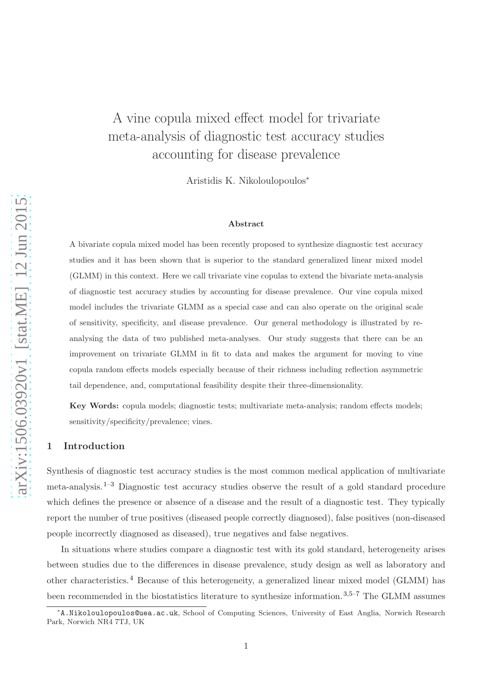# A vine copula mixed effect model for trivariate meta-analysis of diagnostic test accuracy studies accounting for disease prevalence

Aristidis K. Nikoloulopoulos<sup>∗</sup>

#### Abstract

A bivariate copula mixed model has been recently proposed to synthesize diagnostic test accuracy studies and it has been shown that is superior to the standard generalized linear mixed model (GLMM) in this context. Here we call trivariate vine copulas to extend the bivariate meta-analysis of diagnostic test accuracy studies by accounting for disease prevalence. Our vine copula mixed model includes the trivariate GLMM as a special case and can also operate on the original scale of sensitivity, specificity, and disease prevalence. Our general methodology is illustrated by reanalysing the data of two published meta-analyses. Our study suggests that there can be an improvement on trivariate GLMM in fit to data and makes the argument for moving to vine copula random effects models especially because of their richness including reflection asymmetric tail dependence, and, computational feasibility despite their three-dimensionality.

Key Words: copula models; diagnostic tests; multivariate meta-analysis; random effects models; sensitivity/specificity/prevalence; vines.

## 1 Introduction

Synthesis of diagnostic test accuracy studies is the most common medical application of multivariate meta-analysis.[1](#page-21-0)[–3](#page-21-1) Diagnostic test accuracy studies observe the result of a gold standard procedure which defines the presence or absence of a disease and the result of a diagnostic test. They typically report the number of true positives (diseased people correctly diagnosed), false positives (non-diseased people incorrectly diagnosed as diseased), true negatives and false negatives.

In situations where studies compare a diagnostic test with its gold standard, heterogeneity arises between studies due to the differences in disease prevalence, study design as well as laboratory and other characteristics.[4](#page-21-2) Because of this heterogeneity, a generalized linear mixed model (GLMM) has been recommended in the biostatistics literature to synthesize information.<sup>[3](#page-21-1)[,5](#page-21-3)[–7](#page-21-4)</sup> The GLMM assumes

<sup>∗</sup>A.Nikoloulopoulos@uea.ac.uk, School of Computing Sciences, University of East Anglia, Norwich Research Park, Norwich NR4 7TJ, UK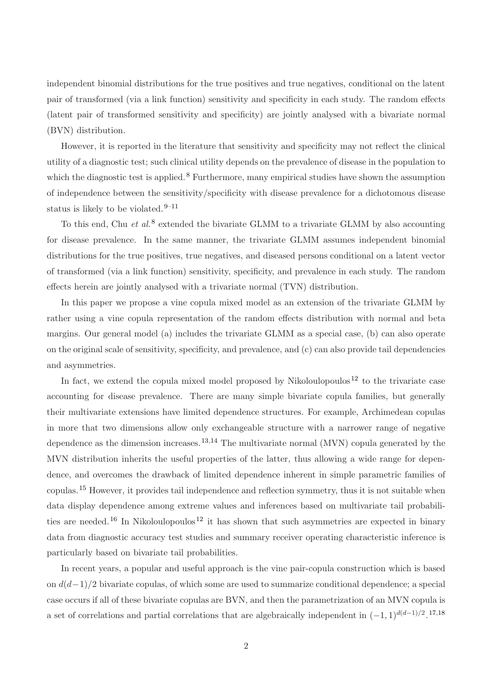independent binomial distributions for the true positives and true negatives, conditional on the latent pair of transformed (via a link function) sensitivity and specificity in each study. The random effects (latent pair of transformed sensitivity and specificity) are jointly analysed with a bivariate normal (BVN) distribution.

However, it is reported in the literature that sensitivity and specificity may not reflect the clinical utility of a diagnostic test; such clinical utility depends on the prevalence of disease in the population to which the diagnostic test is applied.<sup>[8](#page-21-5)</sup> Furthermore, many empirical studies have shown the assumption of independence between the sensitivity/specificity with disease prevalence for a dichotomous disease status is likely to be violated.  $9-11$  $9-11$ 

To this end, Chu et  $al$ <sup>[8](#page-21-5)</sup> extended the bivariate GLMM to a trivariate GLMM by also accounting for disease prevalence. In the same manner, the trivariate GLMM assumes independent binomial distributions for the true positives, true negatives, and diseased persons conditional on a latent vector of transformed (via a link function) sensitivity, specificity, and prevalence in each study. The random effects herein are jointly analysed with a trivariate normal (TVN) distribution.

In this paper we propose a vine copula mixed model as an extension of the trivariate GLMM by rather using a vine copula representation of the random effects distribution with normal and beta margins. Our general model (a) includes the trivariate GLMM as a special case, (b) can also operate on the original scale of sensitivity, specificity, and prevalence, and (c) can also provide tail dependencies and asymmetries.

In fact, we extend the copula mixed model proposed by Nikoloulopoulos<sup>[12](#page-21-8)</sup> to the trivariate case accounting for disease prevalence. There are many simple bivariate copula families, but generally their multivariate extensions have limited dependence structures. For example, Archimedean copulas in more that two dimensions allow only exchangeable structure with a narrower range of negative dependence as the dimension increases.<sup>[13](#page-21-9)[,14](#page-21-10)</sup> The multivariate normal  $(MVN)$  copula generated by the MVN distribution inherits the useful properties of the latter, thus allowing a wide range for dependence, and overcomes the drawback of limited dependence inherent in simple parametric families of copulas.[15](#page-21-11) However, it provides tail independence and reflection symmetry, thus it is not suitable when data display dependence among extreme values and inferences based on multivariate tail probabili-ties are needed.<sup>[16](#page-21-12)</sup> In Nikoloulopoulos<sup>[12](#page-21-8)</sup> it has shown that such asymmetries are expected in binary data from diagnostic accuracy test studies and summary receiver operating characteristic inference is particularly based on bivariate tail probabilities.

In recent years, a popular and useful approach is the vine pair-copula construction which is based on  $d(d-1)/2$  bivariate copulas, of which some are used to summarize conditional dependence; a special case occurs if all of these bivariate copulas are BVN, and then the parametrization of an MVN copula is a set of correlations and partial correlations that are algebraically independent in  $(-1, 1)^{d(d-1)/2}$ . [17](#page-21-13)[,18](#page-21-14)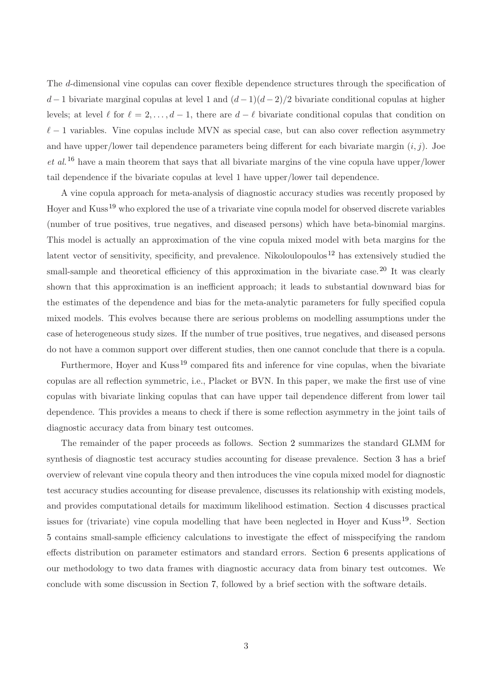The d-dimensional vine copulas can cover flexible dependence structures through the specification of  $d-1$  bivariate marginal copulas at level 1 and  $(d-1)(d-2)/2$  bivariate conditional copulas at higher levels; at level  $\ell$  for  $\ell = 2, \ldots, d - 1$ , there are  $d - \ell$  bivariate conditional copulas that condition on  $\ell-1$  variables. Vine copulas include MVN as special case, but can also cover reflection asymmetry and have upper/lower tail dependence parameters being different for each bivariate margin  $(i, j)$ . Joe  $et al.<sup>16</sup>$  $et al.<sup>16</sup>$  $et al.<sup>16</sup>$  have a main theorem that says that all bivariate margins of the vine copula have upper/lower tail dependence if the bivariate copulas at level 1 have upper/lower tail dependence.

A vine copula approach for meta-analysis of diagnostic accuracy studies was recently proposed by Hoyer and Kuss[19](#page-21-15) who explored the use of a trivariate vine copula model for observed discrete variables (number of true positives, true negatives, and diseased persons) which have beta-binomial margins. This model is actually an approximation of the vine copula mixed model with beta margins for the latent vector of sensitivity, specificity, and prevalence. Nikoloulopoulos<sup>[12](#page-21-8)</sup> has extensively studied the small-sample and theoretical efficiency of this approximation in the bivariate case.<sup>[20](#page-21-16)</sup> It was clearly shown that this approximation is an inefficient approach; it leads to substantial downward bias for the estimates of the dependence and bias for the meta-analytic parameters for fully specified copula mixed models. This evolves because there are serious problems on modelling assumptions under the case of heterogeneous study sizes. If the number of true positives, true negatives, and diseased persons do not have a common support over different studies, then one cannot conclude that there is a copula.

Furthermore, Hoyer and Kuss<sup>[19](#page-21-15)</sup> compared fits and inference for vine copulas, when the bivariate copulas are all reflection symmetric, i.e., Placket or BVN. In this paper, we make the first use of vine copulas with bivariate linking copulas that can have upper tail dependence different from lower tail dependence. This provides a means to check if there is some reflection asymmetry in the joint tails of diagnostic accuracy data from binary test outcomes.

The remainder of the paper proceeds as follows. Section [2](#page-3-0) summarizes the standard GLMM for synthesis of diagnostic test accuracy studies accounting for disease prevalence. Section [3](#page-3-1) has a brief overview of relevant vine copula theory and then introduces the vine copula mixed model for diagnostic test accuracy studies accounting for disease prevalence, discusses its relationship with existing models, and provides computational details for maximum likelihood estimation. Section [4](#page-9-0) discusses practical issues for (trivariate) vine copula modelling that have been neglected in Hoyer and Kuss<sup>[19](#page-21-15)</sup>. Section [5](#page-12-0) contains small-sample efficiency calculations to investigate the effect of misspecifying the random effects distribution on parameter estimators and standard errors. Section [6](#page-14-0) presents applications of our methodology to two data frames with diagnostic accuracy data from binary test outcomes. We conclude with some discussion in Section [7,](#page-20-0) followed by a brief section with the software details.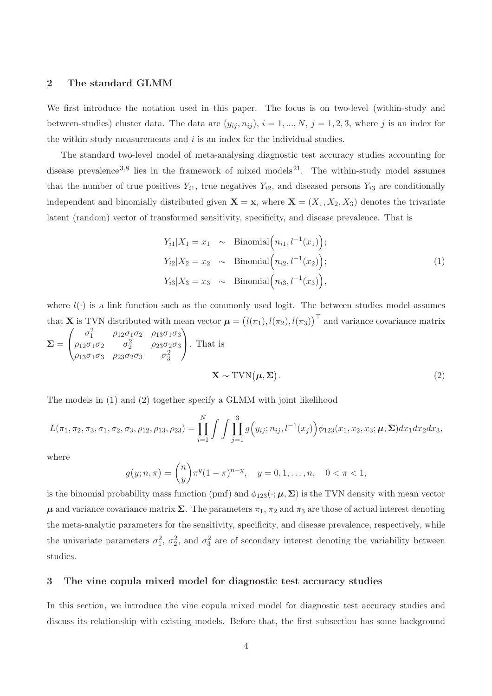## <span id="page-3-0"></span>2 The standard GLMM

We first introduce the notation used in this paper. The focus is on two-level (within-study and between-studies) cluster data. The data are  $(y_{ij}, n_{ij}), i = 1, ..., N, j = 1, 2, 3$ , where j is an index for the within study measurements and  $i$  is an index for the individual studies.

The standard two-level model of meta-analysing diagnostic test accuracy studies accounting for disease prevalence<sup>[3](#page-21-1)[,8](#page-21-5)</sup> lies in the framework of mixed models<sup>[21](#page-21-17)</sup>. The within-study model assumes that the number of true positives  $Y_{i1}$ , true negatives  $Y_{i2}$ , and diseased persons  $Y_{i3}$  are conditionally independent and binomially distributed given  $\mathbf{X} = \mathbf{x}$ , where  $\mathbf{X} = (X_1, X_2, X_3)$  denotes the trivariate latent (random) vector of transformed sensitivity, specificity, and disease prevalence. That is

<span id="page-3-2"></span>
$$
Y_{i1}|X_1 = x_1 \sim \text{Binomial}(n_{i1}, l^{-1}(x_1));
$$
  
\n
$$
Y_{i2}|X_2 = x_2 \sim \text{Binomial}(n_{i2}, l^{-1}(x_2));
$$
  
\n
$$
Y_{i3}|X_3 = x_3 \sim \text{Binomial}(n_{i3}, l^{-1}(x_3)),
$$
\n(1)

where  $l(\cdot)$  is a link function such as the commonly used logit. The between studies model assumes that **X** is TVN distributed with mean vector  $\boldsymbol{\mu} = (l(\pi_1), l(\pi_2), l(\pi_3))^{\top}$  and variance covariance matrix  $\left( \begin{array}{cc} \sigma_1^2 & \rho_{12}\sigma_1\sigma_2 & \rho_{13}\sigma_1\sigma_3 \end{array} \right)$ 2

$$
\Sigma = \begin{pmatrix} \rho_{12}\sigma_1\sigma_2 & \sigma_2^2 & \rho_{23}\sigma_2\sigma_3 \\ \rho_{13}\sigma_1\sigma_3 & \rho_{23}\sigma_2\sigma_3 & \sigma_3^2 \end{pmatrix}.
$$
 That is  
\n
$$
\mathbf{X} \sim \text{TVN}(\boldsymbol{\mu}, \boldsymbol{\Sigma}).
$$
\n(2)

The models in [\(1\)](#page-3-2) and [\(2\)](#page-3-3) together specify a GLMM with joint likelihood

$$
L(\pi_1, \pi_2, \pi_3, \sigma_1, \sigma_2, \sigma_3, \rho_{12}, \rho_{13}, \rho_{23}) = \prod_{i=1}^N \int \int \prod_{j=1}^3 g(y_{ij}; n_{ij}, l^{-1}(x_j)) \phi_{123}(x_1, x_2, x_3; \boldsymbol{\mu}, \boldsymbol{\Sigma}) dx_1 dx_2 dx_3,
$$

where

<span id="page-3-3"></span>
$$
g(y; n, \pi) = {n \choose y} \pi^{y} (1-\pi)^{n-y}, \quad y = 0, 1, \dots, n, \quad 0 < \pi < 1,
$$

is the binomial probability mass function (pmf) and  $\phi_{123}(\cdot;\mu,\Sigma)$  is the TVN density with mean vector  $\mu$  and variance covariance matrix  $\Sigma$ . The parameters  $\pi_1$ ,  $\pi_2$  and  $\pi_3$  are those of actual interest denoting the meta-analytic parameters for the sensitivity, specificity, and disease prevalence, respectively, while the univariate parameters  $\sigma_1^2$ ,  $\sigma_2^2$ , and  $\sigma_3^2$  are of secondary interest denoting the variability between studies.

## <span id="page-3-1"></span>3 The vine copula mixed model for diagnostic test accuracy studies

In this section, we introduce the vine copula mixed model for diagnostic test accuracy studies and discuss its relationship with existing models. Before that, the first subsection has some background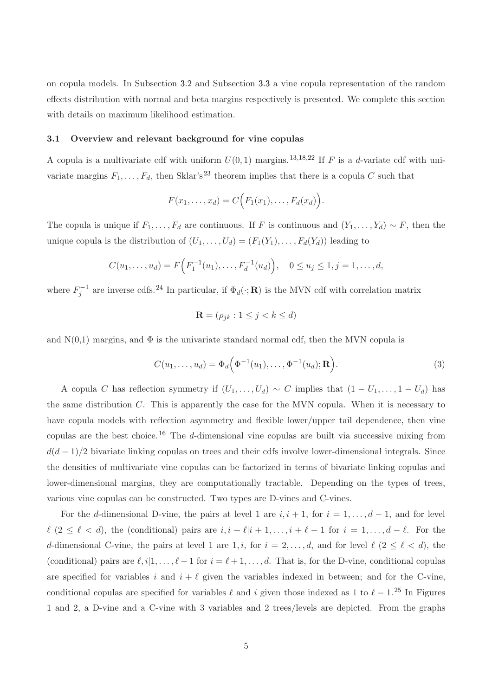on copula models. In Subsection [3.2](#page-5-0) and Subsection [3.3](#page-6-0) a vine copula representation of the random effects distribution with normal and beta margins respectively is presented. We complete this section with details on maximum likelihood estimation.

## 3.1 Overview and relevant background for vine copulas

A copula is a multivariate cdf with uniform  $U(0, 1)$  margins.<sup>[13](#page-21-9)[,18](#page-21-14)[,22](#page-21-18)</sup> If F is a d-variate cdf with univariate margins  $F_1, \ldots, F_d$ , then Sklar's<sup>[23](#page-21-19)</sup> theorem implies that there is a copula C such that

$$
F(x_1,\ldots,x_d)=C\Bigl(F_1(x_1),\ldots,F_d(x_d)\Bigr).
$$

The copula is unique if  $F_1, \ldots, F_d$  are continuous. If F is continuous and  $(Y_1, \ldots, Y_d) \sim F$ , then the unique copula is the distribution of  $(U_1, \ldots, U_d) = (F_1(Y_1), \ldots, F_d(Y_d))$  leading to

$$
C(u_1,\ldots,u_d) = F\Big(F_1^{-1}(u_1),\ldots,F_d^{-1}(u_d)\Big), \quad 0 \le u_j \le 1, j = 1,\ldots,d,
$$

where  $F_j^{-1}$  are inverse cdfs.<sup>[24](#page-21-20)</sup> In particular, if  $\Phi_d(\cdot; \mathbf{R})$  is the MVN cdf with correlation matrix

$$
\mathbf{R} = (\rho_{jk} : 1 \le j < k \le d)
$$

and  $N(0,1)$  margins, and  $\Phi$  is the univariate standard normal cdf, then the MVN copula is

$$
C(u_1, ..., u_d) = \Phi_d\left(\Phi^{-1}(u_1), ..., \Phi^{-1}(u_d); \mathbf{R}\right).
$$
 (3)

A copula C has reflection symmetry if  $(U_1, \ldots, U_d) \sim C$  implies that  $(1 - U_1, \ldots, 1 - U_d)$  has the same distribution  $C$ . This is apparently the case for the MVN copula. When it is necessary to have copula models with reflection asymmetry and flexible lower/upper tail dependence, then vine copulas are the best choice.<sup>[16](#page-21-12)</sup> The *d*-dimensional vine copulas are built via successive mixing from  $d(d-1)/2$  bivariate linking copulas on trees and their cdfs involve lower-dimensional integrals. Since the densities of multivariate vine copulas can be factorized in terms of bivariate linking copulas and lower-dimensional margins, they are computationally tractable. Depending on the types of trees, various vine copulas can be constructed. Two types are D-vines and C-vines.

For the d-dimensional D-vine, the pairs at level 1 are  $i, i + 1$ , for  $i = 1, \ldots, d - 1$ , and for level  $\ell$   $(2 \leq \ell < d)$ , the (conditional) pairs are  $i, i + \ell | i + 1, \ldots, i + \ell - 1$  for  $i = 1, \ldots, d - \ell$ . For the d-dimensional C-vine, the pairs at level 1 are 1, i, for  $i = 2, \ldots, d$ , and for level  $\ell$   $(2 \leq \ell < d)$ , the (conditional) pairs are  $\ell, i|1, \ldots, \ell-1$  for  $i = \ell+1, \ldots, d$ . That is, for the D-vine, conditional copulas are specified for variables i and  $i + \ell$  given the variables indexed in between; and for the C-vine, conditional copulas are specified for variables  $\ell$  and i given those indexed as 1 to  $\ell - 1$ .<sup>[25](#page-21-21)</sup> In Figures [1](#page-5-1) and [2,](#page-5-2) a D-vine and a C-vine with 3 variables and 2 trees/levels are depicted. From the graphs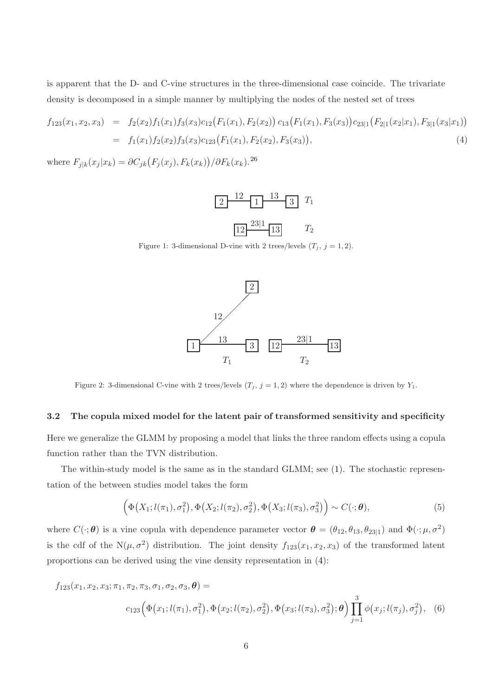is apparent that the D- and C-vine structures in the three-dimensional case coincide. The trivariate density is decomposed in a simple manner by multiplying the nodes of the nested set of trees

<span id="page-5-3"></span>
$$
f_{123}(x_1, x_2, x_3) = f_2(x_2) f_1(x_1) f_3(x_3) c_{12} (F_1(x_1), F_2(x_2)) c_{13} (F_1(x_1), F_3(x_3)) c_{23|1} (F_{2|1}(x_2|x_1), F_{3|1}(x_3|x_1))
$$
  
=  $f_1(x_1) f_2(x_2) f_3(x_3) c_{123} (F_1(x_1), F_2(x_2), F_3(x_3)),$  (4)

<span id="page-5-1"></span>where  $F_{j|k}(x_j|x_k) = \partial C_{jk}(F_j(x_j), F_k(x_k))/\partial F_k(x_k)$ .<sup>[26](#page-21-22)</sup>



<span id="page-5-2"></span>Figure 1: 3-dimensional D-vine with 2 trees/levels  $(T_j, j = 1, 2)$ .



Figure 2: 3-dimensional C-vine with 2 trees/levels  $(T_j, j = 1, 2)$  where the dependence is driven by  $Y_1$ .

# <span id="page-5-0"></span>3.2 The copula mixed model for the latent pair of transformed sensitivity and specificity

Here we generalize the GLMM by proposing a model that links the three random effects using a copula function rather than the TVN distribution.

The within-study model is the same as in the standard GLMM; see [\(1\)](#page-3-2). The stochastic representation of the between studies model takes the form

<span id="page-5-4"></span>
$$
\left(\Phi\big(X_1; l(\pi_1), \sigma_1^2\big), \Phi\big(X_2; l(\pi_2), \sigma_2^2\big), \Phi\big(X_3; l(\pi_3), \sigma_3^2\big)\right) \sim C(\cdot; \boldsymbol{\theta}),\tag{5}
$$

where  $C(\cdot;\theta)$  is a vine copula with dependence parameter vector  $\theta = (\theta_{12}, \theta_{13}, \theta_{23|1})$  and  $\Phi(\cdot; \mu, \sigma^2)$ is the cdf of the N $(\mu, \sigma^2)$  distribution. The joint density  $f_{123}(x_1, x_2, x_3)$  of the transformed latent proportions can be derived using the vine density representation in [\(4\)](#page-5-3):

$$
f_{123}(x_1, x_2, x_3; \pi_1, \pi_2, \pi_3, \sigma_1, \sigma_2, \sigma_3, \theta) =
$$
  

$$
c_{123}\left(\Phi(x_1; l(\pi_1), \sigma_1^2), \Phi(x_2; l(\pi_2), \sigma_2^2), \Phi(x_3; l(\pi_3), \sigma_3^2); \theta\right) \prod_{j=1}^3 \phi(x_j; l(\pi_j), \sigma_j^2), \quad (6)
$$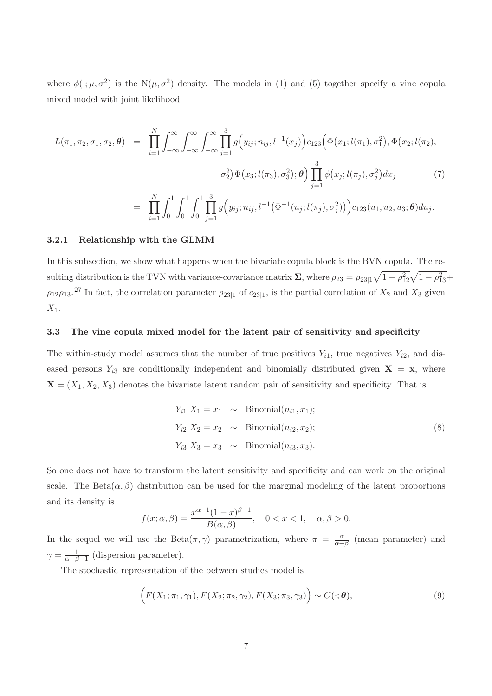where  $\phi(\cdot;\mu,\sigma^2)$  is the N $(\mu,\sigma^2)$  density. The models in [\(1\)](#page-3-2) and [\(5\)](#page-5-4) together specify a vine copula mixed model with joint likelihood

<span id="page-6-3"></span>
$$
L(\pi_1, \pi_2, \sigma_1, \sigma_2, \theta) = \prod_{i=1}^N \int_{-\infty}^{\infty} \int_{-\infty}^{\infty} \int_{-\infty}^{\infty} \prod_{j=1}^3 g\Big(y_{ij}; n_{ij}, l^{-1}(x_j)\Big) c_{123} \Big(\Phi\big(x_1; l(\pi_1), \sigma_1^2\big), \Phi\big(x_2; l(\pi_2), \sigma_2^2\big)\Big) \Phi\big(x_3; l(\pi_3), \sigma_3^2\big); \theta\Big) \prod_{j=1}^3 \phi\big(x_j; l(\pi_j), \sigma_j^2\big) dx_j
$$
\n
$$
= \prod_{i=1}^N \int_0^1 \int_0^1 \int_0^1 \prod_{j=1}^3 g\Big(y_{ij}; n_{ij}, l^{-1}\big(\Phi^{-1}(u_j; l(\pi_j), \sigma_j^2)\big)\Big) c_{123}(u_1, u_2, u_3; \theta) du_j.
$$
\n(7)

## 3.2.1 Relationship with the GLMM

In this subsection, we show what happens when the bivariate copula block is the BVN copula. The resulting distribution is the TVN with variance-covariance matrix  $\Sigma$ , where  $\rho_{23} = \rho_{23|1}\sqrt{1-\rho_{12}^2}\sqrt{1-\rho_{13}^2} +$  $\rho_{12}\rho_{13}$ .<sup>[27](#page-21-23)</sup> In fact, the correlation parameter  $\rho_{23|1}$  of  $c_{23|1}$ , is the partial correlation of  $X_2$  and  $X_3$  given  $X_1$ .

## <span id="page-6-0"></span>3.3 The vine copula mixed model for the latent pair of sensitivity and specificity

The within-study model assumes that the number of true positives  $Y_{i1}$ , true negatives  $Y_{i2}$ , and diseased persons  $Y_{i3}$  are conditionally independent and binomially distributed given  $X = x$ , where  $X = (X_1, X_2, X_3)$  denotes the bivariate latent random pair of sensitivity and specificity. That is

<span id="page-6-1"></span>
$$
Y_{i1}|X_1 = x_1 \sim \text{Binomial}(n_{i1}, x_1);
$$
  
\n
$$
Y_{i2}|X_2 = x_2 \sim \text{Binomial}(n_{i2}, x_2);
$$
  
\n
$$
Y_{i3}|X_3 = x_3 \sim \text{Binomial}(n_{i3}, x_3).
$$
  
\n(8)

So one does not have to transform the latent sensitivity and specificity and can work on the original scale. The Beta $(\alpha, \beta)$  distribution can be used for the marginal modeling of the latent proportions and its density is

$$
f(x; \alpha, \beta) = \frac{x^{\alpha - 1}(1 - x)^{\beta - 1}}{B(\alpha, \beta)}, \quad 0 < x < 1, \quad \alpha, \beta > 0.
$$

In the sequel we will use the Beta $(\pi, \gamma)$  parametrization, where  $\pi = \frac{\alpha}{\alpha + \gamma}$  $\frac{\alpha}{\alpha+\beta}$  (mean parameter) and  $\gamma = \frac{1}{\alpha + \beta + 1}$  (dispersion parameter).

The stochastic representation of the between studies model is

<span id="page-6-2"></span>
$$
(F(X_1; \pi_1, \gamma_1), F(X_2; \pi_2, \gamma_2), F(X_3; \pi_3, \gamma_3)) \sim C(\cdot; \boldsymbol{\theta}),
$$
\n(9)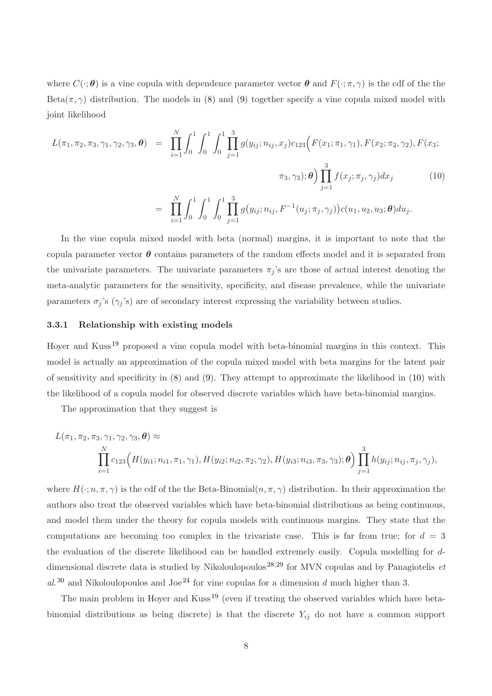where  $C(\cdot;\boldsymbol{\theta})$  is a vine copula with dependence parameter vector  $\boldsymbol{\theta}$  and  $F(\cdot;\pi,\gamma)$  is the cdf of the the  $Beta(\pi, \gamma)$  distribution. The models in [\(8\)](#page-6-1) and [\(9\)](#page-6-2) together specify a vine copula mixed model with joint likelihood

<span id="page-7-0"></span>
$$
L(\pi_1, \pi_2, \pi_3, \gamma_1, \gamma_2, \gamma_3, \theta) = \prod_{i=1}^N \int_0^1 \int_0^1 \int_0^1 \prod_{j=1}^3 g(y_{ij}; n_{ij}, x_j) c_{123} \Big( F(x_1; \pi_1, \gamma_1), F(x_2; \pi_2, \gamma_2), F(x_3; \pi_3, \gamma_3); \theta \Big) \prod_{j=1}^3 f(x_j; \pi_j, \gamma_j) dx_j
$$
\n
$$
= \prod_{i=1}^N \int_0^1 \int_0^1 \int_0^1 \prod_{j=1}^3 g(y_{ij}; n_{ij}, F^{-1}(u_j; \pi_j, \gamma_j)) c(u_1, u_2, u_3; \theta) du_j.
$$
\n(10)

In the vine copula mixed model with beta (normal) margins, it is important to note that the copula parameter vector  $\theta$  contains parameters of the random effects model and it is separated from the univariate parameters. The univariate parameters  $\pi_j$ 's are those of actual interest denoting the meta-analytic parameters for the sensitivity, specificity, and disease prevalence, while the univariate parameters  $\sigma_j$ 's  $(\gamma_j)$ 's) are of secondary interest expressing the variability between studies.

# 3.3.1 Relationship with existing models

Hoyer and Kuss<sup>[19](#page-21-15)</sup> proposed a vine copula model with beta-binomial margins in this context. This model is actually an approximation of the copula mixed model with beta margins for the latent pair of sensitivity and specificity in  $(8)$  and  $(9)$ . They attempt to approximate the likelihood in  $(10)$  with the likelihood of a copula model for observed discrete variables which have beta-binomial margins.

The approximation that they suggest is

$$
L(\pi_1, \pi_2, \pi_3, \gamma_1, \gamma_2, \gamma_3, \boldsymbol{\theta}) \approx \prod_{i=1}^N c_{123} \Big( H(y_{i1}; n_{i1}, \pi_1, \gamma_1), H(y_{i2}; n_{i2}, \pi_2, \gamma_2), H(y_{i3}; n_{i3}, \pi_3, \gamma_3); \boldsymbol{\theta} \Big) \prod_{j=1}^3 h(y_{ij}; n_{ij}, \pi_j, \gamma_j),
$$

where  $H(\cdot; n, \pi, \gamma)$  is the cdf of the the Beta-Binomial $(n, \pi, \gamma)$  distribution. In their approximation the authors also treat the observed variables which have beta-binomial distributions as being continuous, and model them under the theory for copula models with continuous margins. They state that the computations are becoming too complex in the trivariate case. This is far from true; for  $d = 3$ the evaluation of the discrete likelihood can be handled extremely easily. Copula modelling for d-dimensional discrete data is studied by Nikoloulopoulos<sup>[28](#page-21-24)[,29](#page-21-25)</sup> for MVN copulas and by Panagiotelis *et* al.<sup>[30](#page-21-26)</sup> and Nikoloulopoulos and Joe<sup>[24](#page-21-20)</sup> for vine copulas for a dimension d much higher than 3.

The main problem in Hoyer and Kuss<sup>[19](#page-21-15)</sup> (even if treating the observed variables which have betabinomial distributions as being discrete) is that the discrete  $Y_{ij}$  do not have a common support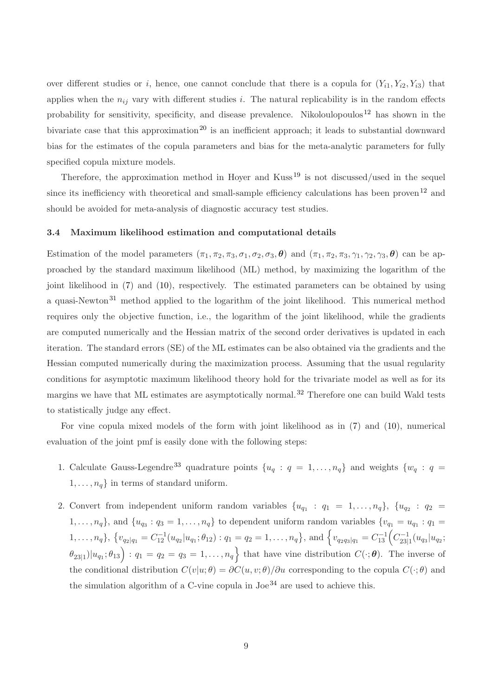over different studies or i, hence, one cannot conclude that there is a copula for  $(Y_{i1}, Y_{i2}, Y_{i3})$  that applies when the  $n_{ij}$  vary with different studies i. The natural replicability is in the random effects probability for sensitivity, specificity, and disease prevalence. Nikoloulopoulos<sup>[12](#page-21-8)</sup> has shown in the bivariate case that this approximation<sup>[20](#page-21-16)</sup> is an inefficient approach; it leads to substantial downward bias for the estimates of the copula parameters and bias for the meta-analytic parameters for fully specified copula mixture models.

Therefore, the approximation method in Hoyer and  $Kuss^{19}$  $Kuss^{19}$  $Kuss^{19}$  is not discussed/used in the sequel since its inefficiency with theoretical and small-sample efficiency calculations has been proven<sup>[12](#page-21-8)</sup> and should be avoided for meta-analysis of diagnostic accuracy test studies.

## 3.4 Maximum likelihood estimation and computational details

Estimation of the model parameters  $(\pi_1, \pi_2, \pi_3, \sigma_1, \sigma_2, \sigma_3, \theta)$  and  $(\pi_1, \pi_2, \pi_3, \gamma_1, \gamma_2, \gamma_3, \theta)$  can be approached by the standard maximum likelihood (ML) method, by maximizing the logarithm of the joint likelihood in [\(7\)](#page-6-3) and [\(10\)](#page-7-0), respectively. The estimated parameters can be obtained by using a quasi-Newton<sup>[31](#page-21-27)</sup> method applied to the logarithm of the joint likelihood. This numerical method requires only the objective function, i.e., the logarithm of the joint likelihood, while the gradients are computed numerically and the Hessian matrix of the second order derivatives is updated in each iteration. The standard errors (SE) of the ML estimates can be also obtained via the gradients and the Hessian computed numerically during the maximization process. Assuming that the usual regularity conditions for asymptotic maximum likelihood theory hold for the trivariate model as well as for its margins we have that ML estimates are asymptotically normal.<sup>[32](#page-22-0)</sup> Therefore one can build Wald tests to statistically judge any effect.

For vine copula mixed models of the form with joint likelihood as in [\(7\)](#page-6-3) and [\(10\)](#page-7-0), numerical evaluation of the joint pmf is easily done with the following steps:

- 1. Calculate Gauss-Legendre<sup>[33](#page-22-1)</sup> quadrature points  $\{u_q : q = 1, \ldots, n_q\}$  and weights  $\{w_q : q = 1, \ldots, q\}$  $1, \ldots, n_q$  in terms of standard uniform.
- 2. Convert from independent uniform random variables  $\{u_{q_1} : q_1 = 1, \ldots, n_q\}, \{u_{q_2} : q_2 =$  $1, \ldots, n_q$ , and  $\{u_{q_3} : q_3 = 1, \ldots, n_q\}$  to dependent uniform random variables  $\{v_{q_1} = u_{q_1} : q_1 = 1, \ldots, q_q\}$  $1, \ldots, n_q$ ,  $\{v_{q_2|q_1} = C_{12}^{-1}(u_{q_2}|u_{q_1}; \theta_{12}) : q_1 = q_2 = 1, \ldots, n_q\}$ , and  $\{v_{q_2q_3|q_1} = C_{13}^{-1}(C_{23}^{-1})\}$  $\frac{1}{23|1}(u_{q_3}|u_{q_2};$  $(\theta_{23|1})|u_{q_1};\theta_{13}$  :  $q_1 = q_2 = q_3 = 1,\ldots,n_q$  that have vine distribution  $C(\cdot;\boldsymbol{\theta})$ . The inverse of the conditional distribution  $C(v|u; \theta) = \partial C(u, v; \theta)/\partial u$  corresponding to the copula  $C(\cdot; \theta)$  and the simulation algorithm of a C-vine copula in  $\text{Joe}^{34}$  $\text{Joe}^{34}$  $\text{Joe}^{34}$  are used to achieve this.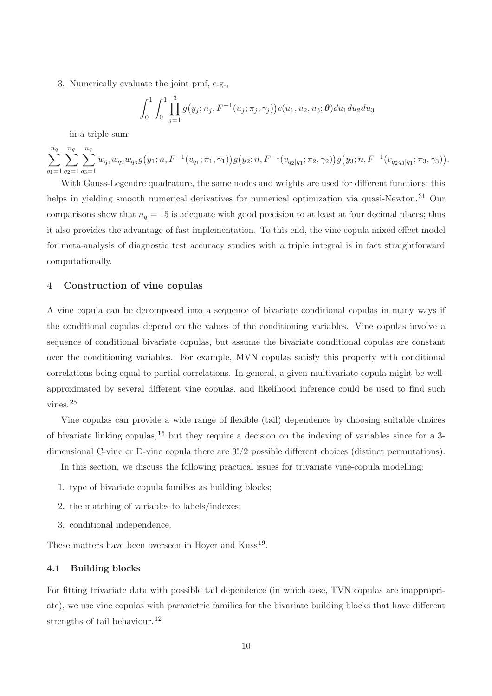3. Numerically evaluate the joint pmf, e.g.,

$$
\int_0^1 \int_0^1 \prod_{j=1}^3 g(y_j; n_j, F^{-1}(u_j; \pi_j, \gamma_j)) c(u_1, u_2, u_3; \theta) du_1 du_2 du_3
$$

in a triple sum:

$$
\sum_{q_1=1}^{n_q} \sum_{q_2=1}^{n_q} \sum_{q_3=1}^{n_q} w_{q_1} w_{q_2} w_{q_3} g(y_1; n, F^{-1}(v_{q_1}; \pi_1, \gamma_1)) g(y_2; n, F^{-1}(v_{q_2|q_1}; \pi_2, \gamma_2)) g(y_3; n, F^{-1}(v_{q_2q_3|q_1}; \pi_3, \gamma_3)).
$$

With Gauss-Legendre quadrature, the same nodes and weights are used for different functions; this helps in yielding smooth numerical derivatives for numerical optimization via quasi-Newton.<sup>[31](#page-21-27)</sup> Our comparisons show that  $n_q = 15$  is adequate with good precision to at least at four decimal places; thus it also provides the advantage of fast implementation. To this end, the vine copula mixed effect model for meta-analysis of diagnostic test accuracy studies with a triple integral is in fact straightforward computationally.

## <span id="page-9-0"></span>4 Construction of vine copulas

A vine copula can be decomposed into a sequence of bivariate conditional copulas in many ways if the conditional copulas depend on the values of the conditioning variables. Vine copulas involve a sequence of conditional bivariate copulas, but assume the bivariate conditional copulas are constant over the conditioning variables. For example, MVN copulas satisfy this property with conditional correlations being equal to partial correlations. In general, a given multivariate copula might be wellapproximated by several different vine copulas, and likelihood inference could be used to find such vines.[25](#page-21-21)

Vine copulas can provide a wide range of flexible (tail) dependence by choosing suitable choices of bivariate linking copulas,<sup>[16](#page-21-12)</sup> but they require a decision on the indexing of variables since for a 3dimensional C-vine or D-vine copula there are 3!/2 possible different choices (distinct permutations).

In this section, we discuss the following practical issues for trivariate vine-copula modelling:

- 1. type of bivariate copula families as building blocks;
- 2. the matching of variables to labels/indexes;
- 3. conditional independence.

<span id="page-9-1"></span>These matters have been overseen in Hoyer and Kuss<sup>[19](#page-21-15)</sup>.

# 4.1 Building blocks

For fitting trivariate data with possible tail dependence (in which case, TVN copulas are inappropriate), we use vine copulas with parametric families for the bivariate building blocks that have different strengths of tail behaviour.<sup>[12](#page-21-8)</sup>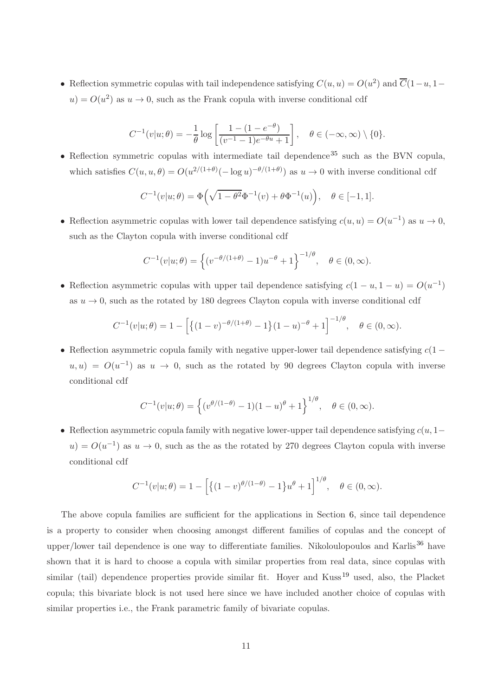• Reflection symmetric copulas with tail independence satisfying  $C(u, u) = O(u^2)$  and  $\overline{C}(1-u, 1-u)$  $u$ ) =  $O(u^2)$  as  $u \to 0$ , such as the Frank copula with inverse conditional cdf

$$
C^{-1}(v|u;\theta) = -\frac{1}{\theta} \log \left[ \frac{1 - (1 - e^{-\theta})}{(v^{-1} - 1)e^{-\theta u} + 1} \right], \quad \theta \in (-\infty, \infty) \setminus \{0\}.
$$

• Reflection symmetric copulas with intermediate tail dependence<sup>[35](#page-22-3)</sup> such as the BVN copula, which satisfies  $C(u, u, \theta) = O(u^{2/(1+\theta)}(-\log u)^{-\theta/(1+\theta)})$  as  $u \to 0$  with inverse conditional cdf

$$
C^{-1}(v|u; \theta) = \Phi\left(\sqrt{1 - \theta^2} \Phi^{-1}(v) + \theta \Phi^{-1}(u)\right), \quad \theta \in [-1, 1].
$$

• Reflection asymmetric copulas with lower tail dependence satisfying  $c(u, u) = O(u^{-1})$  as  $u \to 0$ , such as the Clayton copula with inverse conditional cdf

$$
C^{-1}(v|u; \theta) = \left\{ (v^{-\theta/(1+\theta)} - 1)u^{-\theta} + 1 \right\}^{-1/\theta}, \quad \theta \in (0, \infty).
$$

• Reflection asymmetric copulas with upper tail dependence satisfying  $c(1 - u, 1 - u) = O(u^{-1})$ as  $u \to 0$ , such as the rotated by 180 degrees Clayton copula with inverse conditional cdf

$$
C^{-1}(v|u;\theta) = 1 - \left[ \left\{ (1-v)^{-\theta/(1+\theta)} - 1 \right\} (1-u)^{-\theta} + 1 \right]^{-1/\theta}, \quad \theta \in (0,\infty).
$$

• Reflection asymmetric copula family with negative upper-lower tail dependence satisfying  $c(1$  $u, u$ ) =  $O(u^{-1})$  as  $u \to 0$ , such as the rotated by 90 degrees Clayton copula with inverse conditional cdf

$$
C^{-1}(v|u;\theta) = \left\{ (v^{\theta/(1-\theta)} - 1)(1-u)^{\theta} + 1 \right\}^{1/\theta}, \quad \theta \in (0,\infty).
$$

• Reflection asymmetric copula family with negative lower-upper tail dependence satisfying  $c(u, 1-\alpha)$  $u$ ) =  $O(u^{-1})$  as  $u \to 0$ , such as the as the rotated by 270 degrees Clayton copula with inverse conditional cdf

$$
C^{-1}(v|u;\theta) = 1 - \left[ \left\{ (1-v)^{\theta/(1-\theta)} - 1 \right\} u^{\theta} + 1 \right]^{1/\theta}, \quad \theta \in (0,\infty).
$$

The above copula families are sufficient for the applications in Section [6,](#page-14-0) since tail dependence is a property to consider when choosing amongst different families of copulas and the concept of upper/lower tail dependence is one way to differentiate families. Nikoloulopoulos and Karlis<sup>[36](#page-22-4)</sup> have shown that it is hard to choose a copula with similar properties from real data, since copulas with similar (tail) dependence properties provide similar fit. Hoyer and Kuss<sup>[19](#page-21-15)</sup> used, also, the Placket copula; this bivariate block is not used here since we have included another choice of copulas with similar properties i.e., the Frank parametric family of bivariate copulas.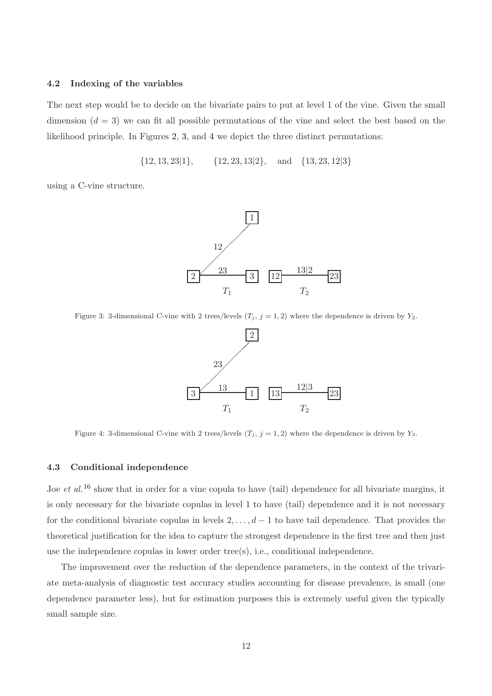#### 4.2 Indexing of the variables

The next step would be to decide on the bivariate pairs to put at level 1 of the vine. Given the small dimension  $(d = 3)$  we can fit all possible permutations of the vine and select the best based on the likelihood principle. In Figures [2,](#page-5-2) [3,](#page-11-0) and [4](#page-11-1) we depict the three distinct permutations:

 $\{12, 13, 23|1\}, \{12, 23, 13|2\}, \text{and } \{13, 23, 12|3\}$ 

<span id="page-11-0"></span>using a C-vine structure.



<span id="page-11-1"></span>Figure 3: 3-dimensional C-vine with 2 trees/levels  $(T_j, j = 1, 2)$  where the dependence is driven by  $Y_2$ .



Figure 4: 3-dimensional C-vine with 2 trees/levels  $(T_j, j = 1, 2)$  where the dependence is driven by  $Y_3$ .

## 4.3 Conditional independence

Joe et  $al$ .<sup>[16](#page-21-12)</sup> show that in order for a vine copula to have (tail) dependence for all bivariate margins, it is only necessary for the bivariate copulas in level 1 to have (tail) dependence and it is not necessary for the conditional bivariate copulas in levels  $2, \ldots, d-1$  to have tail dependence. That provides the theoretical justification for the idea to capture the strongest dependence in the first tree and then just use the independence copulas in lower order tree(s), i.e., conditional independence.

The improvement over the reduction of the dependence parameters, in the context of the trivariate meta-analysis of diagnostic test accuracy studies accounting for disease prevalence, is small (one dependence parameter less), but for estimation purposes this is extremely useful given the typically small sample size.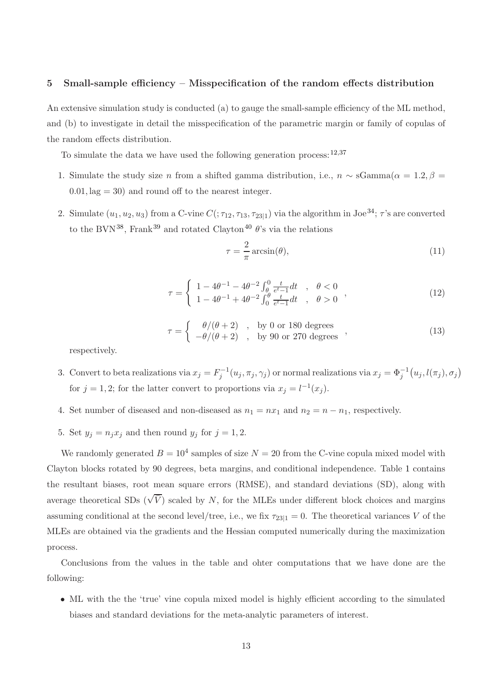## <span id="page-12-0"></span>5 Small-sample efficiency – Misspecification of the random effects distribution

An extensive simulation study is conducted (a) to gauge the small-sample efficiency of the ML method, and (b) to investigate in detail the misspecification of the parametric margin or family of copulas of the random effects distribution.

To simulate the data we have used the following generation process:  $12,37$  $12,37$ 

- 1. Simulate the study size n from a shifted gamma distribution, i.e.,  $n \sim \text{sGamma}(\alpha = 1.2, \beta =$  $(0.01, \text{lag} = 30)$  and round off to the nearest integer.
- 2. Simulate  $(u_1, u_2, u_3)$  from a C-vine  $C(\tau_{12}, \tau_{13}, \tau_{23|1})$  via the algorithm in Joe<sup>[34](#page-22-2)</sup>;  $\tau$ 's are converted to the BVN<sup>[38](#page-22-6)</sup>, Frank<sup>[39](#page-22-7)</sup> and rotated Clayton<sup>[40](#page-22-8)</sup>  $\theta$ 's via the relations

<span id="page-12-1"></span>
$$
\tau = \frac{2}{\pi} \arcsin(\theta),\tag{11}
$$

<span id="page-12-2"></span>
$$
\tau = \begin{cases}\n1 - 4\theta^{-1} - 4\theta^{-2} \int_{\theta}^{0} \frac{t}{e^t - 1} dt & , \quad \theta < 0 \\
1 - 4\theta^{-1} + 4\theta^{-2} \int_{0}^{\theta} \frac{t}{e^t - 1} dt & , \quad \theta > 0\n\end{cases},
$$
\n(12)

<span id="page-12-3"></span>
$$
\tau = \begin{cases}\n\theta/(\theta + 2) & , \text{ by 0 or 180 degrees} \\
-\theta/(\theta + 2) & , \text{ by 90 or 270 degrees}\n\end{cases}
$$
\n(13)

respectively.

- 3. Convert to beta realizations via  $x_j = F_j^{-1}(u_j, \pi_j, \gamma_j)$  or normal realizations via  $x_j = \Phi_j^{-1}(u_j, l(\pi_j), \sigma_j)$ for  $j = 1, 2$ ; for the latter convert to proportions via  $x_j = l^{-1}(x_j)$ .
- 4. Set number of diseased and non-diseased as  $n_1 = nx_1$  and  $n_2 = n n_1$ , respectively.
- 5. Set  $y_j = n_j x_j$  and then round  $y_j$  for  $j = 1, 2$ .

We randomly generated  $B = 10^4$  samples of size  $N = 20$  from the C-vine copula mixed model with Clayton blocks rotated by 90 degrees, beta margins, and conditional independence. Table [1](#page-13-0) contains the resultant biases, root mean square errors (RMSE), and standard deviations (SD), along with average theoretical SDs  $(\sqrt{\bar{V}})$  scaled by N, for the MLEs under different block choices and margins assuming conditional at the second level/tree, i.e., we fix  $\tau_{23|1} = 0$ . The theoretical variances V of the MLEs are obtained via the gradients and the Hessian computed numerically during the maximization process.

Conclusions from the values in the table and ohter computations that we have done are the following:

• ML with the the 'true' vine copula mixed model is highly efficient according to the simulated biases and standard deviations for the meta-analytic parameters of interest.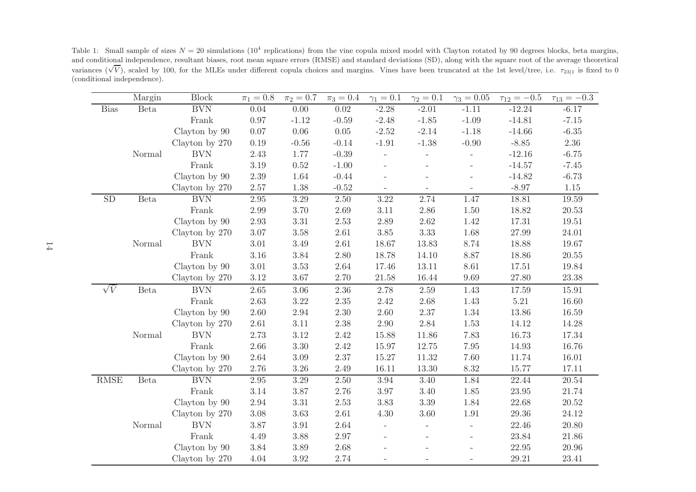Table 1: Small sample of sizes  $N = 20$  simulations ( $10^4$  replications) from the vine copula mixed model with Clayton rotated by 90 degrees blocks, beta margins, and conditional independence, resultant biases, root mean square errors (RMSE) and standard deviations (SD), along with the square root of the average theoretical variances  $(\sqrt{V})$ , scaled by 100, for the MLEs under different copula choices and margins. Vines have been truncated at the 1st level/tree, i.e.  $\tau_{23|1}$  is fixed to 0 (conditional independence).

<span id="page-13-0"></span>

|             | Margin      | <b>Block</b>   | $\pi_1 = 0.8$ | $\pi_2 = 0.7$ | $\pi_3 = 0.4$ | $\gamma_1=0.1$ | $\gamma_2=0.1$ |          | $\gamma_3 = 0.05$ $\tau_{12} = -0.5$ $\tau_{13} = -0.3$ |           |
|-------------|-------------|----------------|---------------|---------------|---------------|----------------|----------------|----------|---------------------------------------------------------|-----------|
| <b>Bias</b> | <b>Beta</b> | <b>BVN</b>     | 0.04          | 0.00          | 0.02          | $-2.28$        | $-2.01$        | $-1.11$  | $-12.24$                                                | $-6.17$   |
|             |             | Frank          | 0.97          | $-1.12$       | $-0.59$       | $-2.48$        | $-1.85$        | $-1.09$  | $-14.81$                                                | $-7.15$   |
|             |             | Clayton by 90  | 0.07          | 0.06          | 0.05          | $-2.52$        | $-2.14$        | $-1.18$  | $-14.66$                                                | $-6.35$   |
|             |             | Clayton by 270 | $0.19\,$      | $-0.56$       | $-0.14$       | $-1.91$        | $-1.38$        | $-0.90$  | $-8.85$                                                 | 2.36      |
|             | Normal      | <b>BVN</b>     | 2.43          | 1.77          | $-0.39$       |                |                |          | $-12.16$                                                | $-6.75$   |
|             |             | Frank          | 3.19          | 0.52          | $-1.00$       |                |                |          | $-14.57$                                                | $-7.45$   |
|             |             | Clayton by 90  | $2.39\,$      | $1.64\,$      | $-0.44$       | $\equiv$       |                |          | $-14.82$                                                | $-6.73$   |
|             |             | Clayton by 270 | $2.57\,$      | $1.38\,$      | $-0.52$       |                |                |          | $-8.97$                                                 | 1.15      |
| ${\rm SD}$  | Beta        | <b>BVN</b>     | 2.95          | 3.29          | 2.50          | 3.22           | 2.74           | 1.47     | 18.81                                                   | 19.59     |
|             |             | Frank          | $2.99\,$      | 3.70          | 2.69          | 3.11           | $2.86\,$       | 1.50     | 18.82                                                   | 20.53     |
|             |             | Clayton by 90  | $2.93\,$      | $3.31\,$      | $2.53\,$      | $2.89\,$       | $2.62\,$       | $1.42\,$ | 17.31                                                   | $19.51\,$ |
|             |             | Clayton by 270 | 3.07          | $3.58\,$      | 2.61          | $3.85\,$       | 3.33           | 1.68     | 27.99                                                   | 24.01     |
|             | Normal      | <b>BVN</b>     | $3.01\,$      | 3.49          | 2.61          | 18.67          | 13.83          | 8.74     | 18.88                                                   | 19.67     |
|             |             | Frank          | $3.16\,$      | 3.84          | 2.80          | 18.78          | 14.10          | 8.87     | 18.86                                                   | 20.55     |
|             |             | Clayton by 90  | $3.01\,$      | $3.53\,$      | 2.64          | 17.46          | 13.11          | 8.61     | 17.51                                                   | 19.84     |
|             |             | Clayton by 270 | $3.12\,$      | 3.67          | 2.70          | $21.58\,$      | 16.44          | 9.69     | 27.80                                                   | $23.38\,$ |
| $\sqrt{V}$  | Beta        | <b>BVN</b>     | 2.65          | 3.06          | $2.36\,$      | 2.78           | 2.59           | 1.43     | 17.59                                                   | 15.91     |
|             |             | Frank          | 2.63          | $3.22\,$      | $2.35\,$      | 2.42           | 2.68           | 1.43     | 5.21                                                    | 16.60     |
|             |             | Clayton by 90  | $2.60\,$      | 2.94          | 2.30          | 2.60           | $2.37\,$       | $1.34\,$ | 13.86                                                   | 16.59     |
|             |             | Clayton by 270 | 2.61          | 3.11          | $2.38\,$      | 2.90           | 2.84           | 1.53     | 14.12                                                   | 14.28     |
|             | Normal      | <b>BVN</b>     | 2.73          | 3.12          | 2.42          | 15.88          | 11.86          | 7.83     | 16.73                                                   | 17.34     |
|             |             | Frank          | $2.66\,$      | $3.30\,$      | 2.42          | 15.97          | $12.75\,$      | $7.95\,$ | 14.93                                                   | 16.76     |
|             |             | Clayton by 90  | 2.64          | 3.09          | 2.37          | 15.27          | 11.32          | 7.60     | 11.74                                                   | 16.01     |
|             |             | Clayton by 270 | 2.76          | $3.26\,$      | 2.49          | 16.11          | 13.30          | 8.32     | $15.77\,$                                               | 17.11     |
| <b>RMSE</b> | Beta        | <b>BVN</b>     | 2.95          | $3.29\,$      | 2.50          | $3.94\,$       | 3.40           | 1.84     | 22.44                                                   | $20.54\,$ |
|             |             | Frank          | 3.14          | 3.87          | 2.76          | $3.97\,$       | 3.40           | 1.85     | 23.95                                                   | 21.74     |
|             |             | Clayton by 90  | $2.94\,$      | $3.31\,$      | $2.53\,$      | $3.83\,$       | $3.39\,$       | 1.84     | 22.68                                                   | 20.52     |
|             |             | Clayton by 270 | 3.08          | 3.63          | 2.61          | 4.30           | 3.60           | 1.91     | 29.36                                                   | 24.12     |
|             | Normal      | <b>BVN</b>     | 3.87          | 3.91          | 2.64          | $\equiv$       | $\equiv$       |          | $22.46\,$                                               | 20.80     |
|             |             | Frank          | 4.49          | 3.88          | 2.97          |                |                |          | $23.84\,$                                               | $21.86\,$ |
|             |             | Clayton by 90  | 3.84          | $3.89\,$      | 2.68          |                |                |          | $22.95\,$                                               | $20.96\,$ |
|             |             | Clayton by 270 | 4.04          | 3.92          | 2.74          |                |                |          | 29.21                                                   | 23.41     |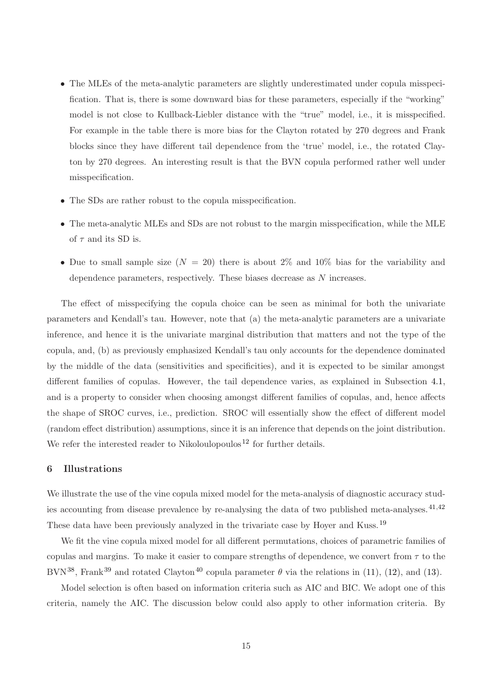- The MLEs of the meta-analytic parameters are slightly underestimated under copula misspecification. That is, there is some downward bias for these parameters, especially if the "working" model is not close to Kullback-Liebler distance with the "true" model, i.e., it is misspecified. For example in the table there is more bias for the Clayton rotated by 270 degrees and Frank blocks since they have different tail dependence from the 'true' model, i.e., the rotated Clayton by 270 degrees. An interesting result is that the BVN copula performed rather well under misspecification.
- The SDs are rather robust to the copula misspecification.
- The meta-analytic MLEs and SDs are not robust to the margin misspecification, while the MLE of  $\tau$  and its SD is.
- Due to small sample size  $(N = 20)$  there is about 2% and 10% bias for the variability and dependence parameters, respectively. These biases decrease as N increases.

The effect of misspecifying the copula choice can be seen as minimal for both the univariate parameters and Kendall's tau. However, note that (a) the meta-analytic parameters are a univariate inference, and hence it is the univariate marginal distribution that matters and not the type of the copula, and, (b) as previously emphasized Kendall's tau only accounts for the dependence dominated by the middle of the data (sensitivities and specificities), and it is expected to be similar amongst different families of copulas. However, the tail dependence varies, as explained in Subsection [4.1,](#page-9-1) and is a property to consider when choosing amongst different families of copulas, and, hence affects the shape of SROC curves, i.e., prediction. SROC will essentially show the effect of different model (random effect distribution) assumptions, since it is an inference that depends on the joint distribution. We refer the interested reader to Nikoloulopoulos<sup>[12](#page-21-8)</sup> for further details.

## <span id="page-14-0"></span>6 Illustrations

We illustrate the use of the vine copula mixed model for the meta-analysis of diagnostic accuracy studies accounting from disease prevalence by re-analysing the data of two published meta-analyses.  $41,42$  $41,42$ These data have been previously analyzed in the trivariate case by Hoyer and Kuss.[19](#page-21-15)

We fit the vine copula mixed model for all different permutations, choices of parametric families of copulas and margins. To make it easier to compare strengths of dependence, we convert from  $\tau$  to the BVN<sup>[38](#page-22-6)</sup>, Frank<sup>[39](#page-22-7)</sup> and rotated Clayton<sup>[40](#page-22-8)</sup> copula parameter  $\theta$  via the relations in [\(11\)](#page-12-1), [\(12\)](#page-12-2), and [\(13\)](#page-12-3).

Model selection is often based on information criteria such as AIC and BIC. We adopt one of this criteria, namely the AIC. The discussion below could also apply to other information criteria. By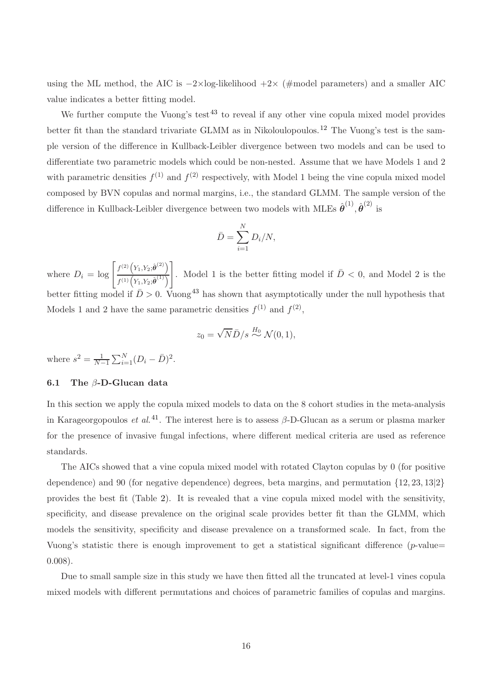using the ML method, the AIC is  $-2\times$ log-likelihood  $+2\times$  (#model parameters) and a smaller AIC value indicates a better fitting model.

We further compute the Vuong's test<sup>[43](#page-22-11)</sup> to reveal if any other vine copula mixed model provides better fit than the standard trivariate GLMM as in Nikoloulopoulos.[12](#page-21-8) The Vuong's test is the sample version of the difference in Kullback-Leibler divergence between two models and can be used to differentiate two parametric models which could be non-nested. Assume that we have Models 1 and 2 with parametric densities  $f^{(1)}$  and  $f^{(2)}$  respectively, with Model 1 being the vine copula mixed model composed by BVN copulas and normal margins, i.e., the standard GLMM. The sample version of the difference in Kullback-Leibler divergence between two models with MLEs  $\hat{\theta}^{(1)}, \hat{\theta}^{(2)}$  is

$$
\bar{D} = \sum_{i=1}^{N} D_i / N,
$$

where  $D_i = \log \left[ \frac{f^{(2)}(Y_1, Y_2; \hat{\theta}^{(2)})}{f^{(1)}(Y_1, Y_2; \hat{\theta}^{(1)})} \right]$  $f^{(1)}(Y_1,Y_2;\hat{\boldsymbol{\theta}}^{(1)})$ . Model 1 is the better fitting model if  $\bar{D} < 0$ , and Model 2 is the better fitting model if  $\bar{D} > 0$ . Vuong<sup>[43](#page-22-11)</sup> has shown that asymptotically under the null hypothesis that Models 1 and 2 have the same parametric densities  $f^{(1)}$  and  $f^{(2)}$ ,

$$
z_0 = \sqrt{N}\bar{D}/s \stackrel{H_0}{\sim} \mathcal{N}(0,1),
$$

where  $s^2 = \frac{1}{N-1}$  $\frac{1}{N-1}\sum_{i=1}^{N}(D_i-\bar{D})^2$ .

## 6.1 The  $\beta$ -D-Glucan data

In this section we apply the copula mixed models to data on the 8 cohort studies in the meta-analysis in Karageorgopoulos et al.<sup>[41](#page-22-9)</sup>. The interest here is to assess  $\beta$ -D-Glucan as a serum or plasma marker for the presence of invasive fungal infections, where different medical criteria are used as reference standards.

The AICs showed that a vine copula mixed model with rotated Clayton copulas by 0 (for positive dependence) and 90 (for negative dependence) degrees, beta margins, and permutation {12, 23, 13|2} provides the best fit (Table [2\)](#page-16-0). It is revealed that a vine copula mixed model with the sensitivity, specificity, and disease prevalence on the original scale provides better fit than the GLMM, which models the sensitivity, specificity and disease prevalence on a transformed scale. In fact, from the Vuong's statistic there is enough improvement to get a statistical significant difference ( $p$ -value= 0.008).

Due to small sample size in this study we have then fitted all the truncated at level-1 vines copula mixed models with different permutations and choices of parametric families of copulas and margins.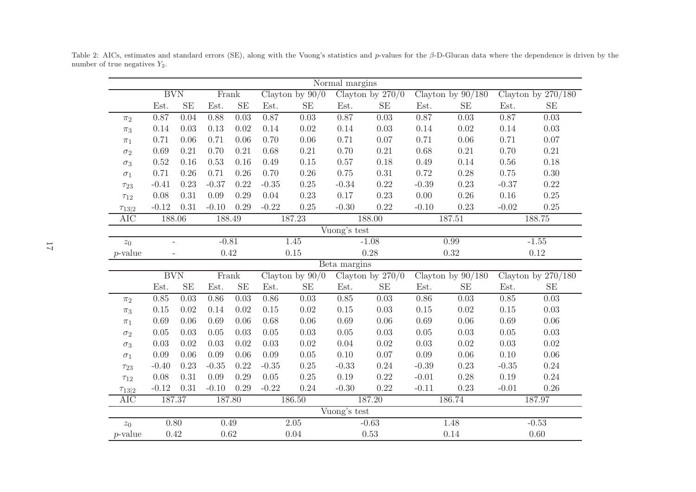<span id="page-16-0"></span>

|                     |                |           |                            |              |          |                    | Normal margins |                    |                                             |                     |          |                      |
|---------------------|----------------|-----------|----------------------------|--------------|----------|--------------------|----------------|--------------------|---------------------------------------------|---------------------|----------|----------------------|
|                     | <b>BVN</b>     |           | Clayton by $90/0$<br>Frank |              |          | Clayton by $270/0$ |                |                    | Clayton by $270/180$<br>Clayton by $90/180$ |                     |          |                      |
|                     | Est.           | $\rm SE$  | Est.                       | SE           | Est.     | $\rm SE$           | Est.           | $\rm SE$           | Est.                                        | SE                  | Est.     | $\rm SE$             |
| $\pi_2$             | 0.87           | 0.04      | 0.88                       | 0.03         | 0.87     | $0.03\,$           | 0.87           | $0.03\,$           | 0.87                                        | $0.03\,$            | 0.87     | 0.03                 |
| $\pi_3$             | 0.14           | 0.03      | 0.13                       | 0.02         | 0.14     | 0.02               | 0.14           | 0.03               | $0.14\,$                                    | $0.02\,$            | $0.14\,$ | 0.03                 |
| $\pi_1$             | 0.71           | 0.06      | 0.71                       | 0.06         | 0.70     | 0.06               | 0.71           | 0.07               | 0.71                                        | $0.06\,$            | 0.71     | 0.07                 |
| $\sigma_2$          | 0.69           | 0.21      | 0.70                       | 0.21         | 0.68     | $0.21\,$           | 0.70           | 0.21               | 0.68                                        | 0.21                | 0.70     | 0.21                 |
| $\sigma_3$          | $0.52\,$       | 0.16      | 0.53                       | 0.16         | 0.49     | $0.15\,$           | $0.57\,$       | $0.18\,$           | 0.49                                        | 0.14                | $0.56\,$ | 0.18                 |
| $\sigma_1$          | 0.71           | 0.26      | 0.71                       | 0.26         | 0.70     | 0.26               | 0.75           | $0.31\,$           | 0.72                                        | 0.28                | $0.75\,$ | 0.30                 |
| $\tau_{23}$         | $-0.41$        | 0.23      | $-0.37$                    | 0.22         | $-0.35$  | 0.25               | $-0.34$        | 0.22               | $-0.39$                                     | 0.23                | $-0.37$  | 0.22                 |
| $\tau_{12}$         | 0.08           | 0.31      | 0.09                       | 0.29         | 0.04     | 0.23               | 0.17           | 0.23               | 0.00                                        | 0.26                | 0.16     | 0.25                 |
| $\tau_{13 2}$       | $-0.12$        | 0.31      | $-0.10$                    | 0.29         | $-0.22$  | 0.25               | $-0.30$        | 0.22               | $-0.10$                                     | 0.23                | $-0.02$  | $0.25\,$             |
| AIC                 | 188.06         |           | 188.49                     |              |          | 187.23             |                | 188.00             |                                             | 187.51              |          | 188.75               |
|                     |                |           |                            |              |          |                    | Vuong's test   |                    |                                             |                     |          |                      |
| $z_0$               | $\overline{a}$ |           | $-0.81$                    |              | 1.45     |                    |                | $-1.08$            | 0.99                                        |                     | $-1.55$  |                      |
| $p$ -value          |                |           |                            | 0.42<br>0.15 |          |                    | 0.28           |                    | 0.32                                        |                     | 0.12     |                      |
|                     | Beta margins   |           |                            |              |          |                    |                |                    |                                             |                     |          |                      |
|                     |                |           |                            |              |          |                    |                |                    |                                             |                     |          |                      |
|                     | <b>BVN</b>     |           | Frank                      |              |          | Clayton by $90/0$  |                | Clayton by $270/0$ |                                             | Clayton by $90/180$ |          | Clayton by $270/180$ |
|                     | Est.           | <b>SE</b> | Est.                       | <b>SE</b>    | Est.     | $\rm SE$           | Est.           | $\rm SE$           | Est.                                        | <b>SE</b>           | Est.     | <b>SE</b>            |
| $\pi_2$             | $0.85\,$       | 0.03      | 0.86                       | 0.03         | 0.86     | $\overline{0.03}$  | 0.85           | 0.03               | 0.86                                        | $0.03\,$            | 0.85     | 0.03                 |
| $\pi_3$             | $0.15\,$       | 0.02      | 0.14                       | 0.02         | $0.15\,$ | $0.02\,$           | $0.15\,$       | $0.03\,$           | $0.15\,$                                    | $0.02\,$            | $0.15\,$ | 0.03                 |
| $\pi_1$             | 0.69           | 0.06      | 0.69                       | 0.06         | 0.68     | 0.06               | 0.69           | 0.06               | 0.69                                        | 0.06                | 0.69     | 0.06                 |
| $\sigma_2$          | 0.05           | 0.03      | 0.05                       | 0.03         | 0.05     | 0.03               | 0.05           | 0.03               | 0.05                                        | 0.03                | 0.05     | 0.03                 |
| $\sigma_3$          | $0.03\,$       | 0.02      | 0.03                       | 0.02         | $0.03\,$ | 0.02               | 0.04           | 0.02               | $0.03\,$                                    | $0.02\,$            | $0.03\,$ | 0.02                 |
| $\sigma_1$          | 0.09           | 0.06      | 0.09                       | 0.06         | 0.09     | $0.05\,$           | $0.10\,$       | $0.07\,$           | $0.09\,$                                    | 0.06                | 0.10     | 0.06                 |
| $\tau_{23}$         | $-0.40$        | 0.23      | $-0.35$                    | 0.22         | $-0.35$  | 0.25               | $-0.33$        | 0.24               | $-0.39$                                     | 0.23                | $-0.35$  | 0.24                 |
| $\tau_{12}$         | 0.08           | 0.31      | 0.09                       | 0.29         | $0.05\,$ | 0.25               | $0.19\,$       | 0.22               | $-0.01$                                     | 0.28                | 0.19     | 0.24                 |
| $\tau_{13 2}$       | $-0.12$        | $0.31\,$  | $-0.10$                    | 0.29         | $-0.22$  | 0.24               | $-0.30$        | 0.22               | $-0.11$                                     | 0.23                | $-0.01$  | 0.26                 |
| <b>AIC</b>          | 187.37         |           | 187.80                     |              |          | 186.50             |                | 187.20             |                                             | 186.74              |          | 187.97               |
|                     |                |           |                            |              |          |                    | Vuong's test   |                    |                                             |                     |          |                      |
| $z_0$<br>$p$ -value | 0.80<br>0.42   |           | 0.49<br>$0.62\,$           |              |          | 2.05<br>$0.04\,$   |                | $-0.63$<br>0.53    |                                             | 1.48<br>$0.14\,$    |          | $-0.53$<br>0.60      |

Table 2: AICs, estimates and standard errors (SE), along with the Vuong's statistics and <sup>p</sup>-values for the β-D-Glucan data where the dependence is driven by the number of true negatives  $Y_2$ .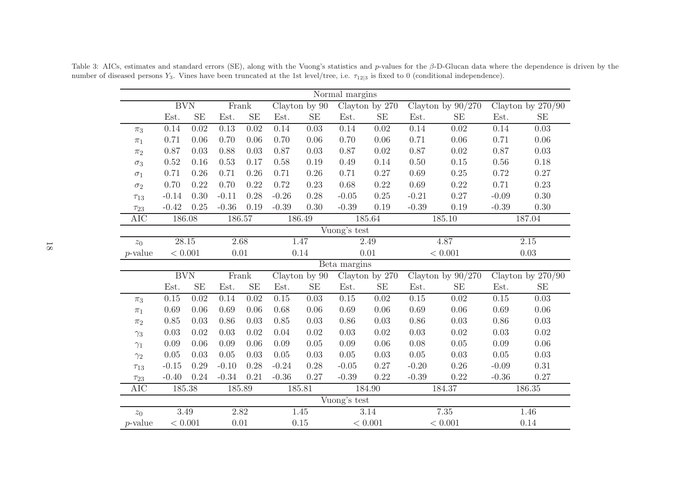<span id="page-17-0"></span>

|             |               |                                      |         |              |                |                     | Normal margins |                     |          |                     |          |                     |  |
|-------------|---------------|--------------------------------------|---------|--------------|----------------|---------------------|----------------|---------------------|----------|---------------------|----------|---------------------|--|
|             |               | <b>BVN</b><br>Frank<br>Clayton by 90 |         |              | Clayton by 270 | Clayton by $90/270$ |                | Clayton by $270/90$ |          |                     |          |                     |  |
|             | Est.          | <b>SE</b>                            | Est.    | <b>SE</b>    | Est.           | <b>SE</b>           | Est.           | <b>SE</b>           | Est.     | SE                  | Est.     | SE                  |  |
| $\pi_3$     | 0.14          | 0.02                                 | 0.13    | 0.02         | 0.14           | 0.03                | 0.14           | 0.02                | 0.14     | 0.02                | 0.14     | 0.03                |  |
| $\pi_1$     | 0.71          | 0.06                                 | 0.70    | 0.06         | 0.70           | 0.06                | 0.70           | $0.06\,$            | 0.71     | 0.06                | 0.71     | 0.06                |  |
| $\pi_2$     | 0.87          | 0.03                                 | 0.88    | 0.03         | 0.87           | 0.03                | 0.87           | 0.02                | 0.87     | 0.02                | 0.87     | 0.03                |  |
| $\sigma_3$  | 0.52          | 0.16                                 | 0.53    | 0.17         | 0.58           | 0.19                | 0.49           | 0.14                | 0.50     | 0.15                | $0.56\,$ | 0.18                |  |
| $\sigma_1$  | 0.71          | 0.26                                 | 0.71    | 0.26         | 0.71           | 0.26                | 0.71           | 0.27                | 0.69     | 0.25                | 0.72     | 0.27                |  |
| $\sigma_2$  | 0.70          | 0.22                                 | 0.70    | 0.22         | 0.72           | 0.23                | 0.68           | 0.22                | 0.69     | 0.22                | 0.71     | 0.23                |  |
| $\tau_{13}$ | $-0.14$       | 0.30                                 | $-0.11$ | 0.28         | $-0.26$        | 0.28                | $-0.05$        | $0.25\,$            | $-0.21$  | 0.27                | $-0.09$  | 0.30                |  |
| $\tau_{23}$ | $-0.42$       | 0.25                                 | $-0.36$ | 0.19         | $-0.39$        | 0.30                | $-0.39$        | 0.19                | $-0.39$  | 0.19                | $-0.39$  | 0.30                |  |
| AIC         | 186.08        |                                      | 186.57  |              |                | 186.49              |                | 185.64              |          | 185.10              |          | 187.04              |  |
|             |               |                                      |         |              |                |                     | Vuong's test   |                     |          |                     |          |                     |  |
| $z_0$       | 28.15<br>2.68 |                                      |         | 1.47<br>2.49 |                |                     |                | 4.87                |          | 2.15                |          |                     |  |
| $p$ -value  | $< 0.001$     |                                      | 0.01    |              |                | 0.14                |                | 0.01                |          | < 0.001             |          | 0.03                |  |
|             |               |                                      |         |              |                |                     | Beta margins   |                     |          |                     |          |                     |  |
|             | <b>BVN</b>    |                                      | Frank   |              |                | Clayton by $90$     |                | Clayton by 270      |          | Clayton by $90/270$ |          | Clayton by $270/90$ |  |
|             | Est.          | SE                                   | Est.    | SE           | Est.           | SE                  | Est.           | $\rm SE$            | Est.     | $\rm SE$            | Est.     | SE                  |  |
| $\pi_3$     | 0.15          | 0.02                                 | 0.14    | 0.02         | 0.15           | $0.03\,$            | $0.15\,$       | 0.02                | $0.15\,$ | 0.02                | $0.15$   | $0.03\,$            |  |
| $\pi_1$     | 0.69          | 0.06                                 | 0.69    | 0.06         | 0.68           | 0.06                | 0.69           | 0.06                | 0.69     | 0.06                | $0.69\,$ | 0.06                |  |
| $\pi_2$     | 0.85          | 0.03                                 | 0.86    | 0.03         | 0.85           | 0.03                | 0.86           | 0.03                | 0.86     | 0.03                | 0.86     | 0.03                |  |
| $\gamma_3$  | 0.03          | 0.02                                 | 0.03    | 0.02         | 0.04           | 0.02                | 0.03           | 0.02                | 0.03     | 0.02                | 0.03     | 0.02                |  |
| $\gamma_1$  | 0.09          | 0.06                                 | 0.09    | 0.06         | 0.09           | 0.05                | 0.09           | $0.06\,$            | 0.08     | 0.05                | 0.09     | 0.06                |  |
| $\gamma_2$  | 0.05          | 0.03                                 | 0.05    | 0.03         | 0.05           | 0.03                | $0.05\,$       | 0.03                | $0.05\,$ | 0.03                | $0.05\,$ | 0.03                |  |
| $\tau_{13}$ | $-0.15$       | 0.29                                 | $-0.10$ | 0.28         | $-0.24$        | 0.28                | $-0.05$        | 0.27                | $-0.20$  | 0.26                | $-0.09$  | 0.31                |  |
| $\tau_{23}$ | $-0.40$       | 0.24                                 | $-0.34$ | 0.21         | $-0.36$        | 0.27                | $-0.39$        | 0.22                | $-0.39$  | 0.22                | $-0.36$  | 0.27                |  |
| <b>AIC</b>  | 185.38        |                                      | 185.89  |              | 185.81         |                     | 184.90         |                     | 184.37   |                     | 186.35   |                     |  |
|             |               |                                      |         |              |                |                     | Vuong's test   |                     |          |                     |          |                     |  |
| $z_0$       | 3.49          |                                      | 2.82    |              |                | 1.45                | 3.14           |                     | 7.35     |                     |          | 1.46                |  |
| $p$ -value  | < 0.001       |                                      | 0.01    |              |                | 0.15                | < 0.001        |                     |          | < 0.001             |          | 0.14                |  |

Table 3: AICs, estimates and standard errors (SE), along with the Vuong's statistics and <sup>p</sup>-values for the β-D-Glucan data where the dependence is driven by the number of diseased persons  $Y_3$ . Vines have been truncated at the 1st level/tree, i.e.  $\tau_{12|3}$  is fixed to 0 (conditional independence).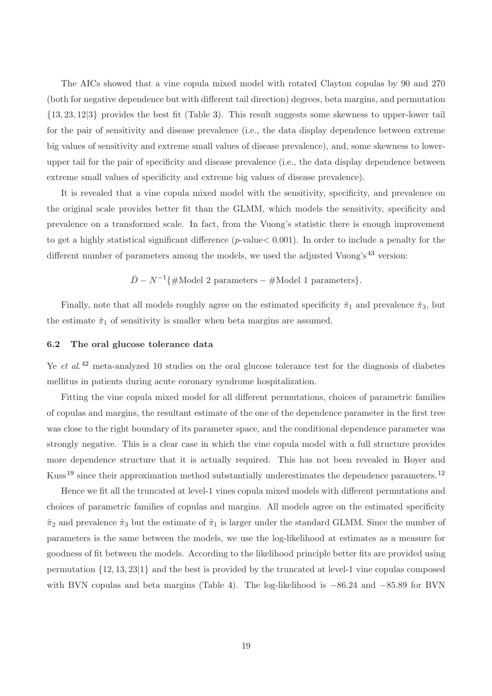The AICs showed that a vine copula mixed model with rotated Clayton copulas by 90 and 270 (both for negative dependence but with different tail direction) degrees, beta margins, and permutation {13, 23, 12|3} provides the best fit (Table [3\)](#page-17-0). This result suggests some skewness to upper-lower tail for the pair of sensitivity and disease prevalence (i.e., the data display dependence between extreme big values of sensitivity and extreme small values of disease prevalence), and, some skewness to lowerupper tail for the pair of specificity and disease prevalence (i.e., the data display dependence between extreme small values of specificity and extreme big values of disease prevalence).

It is revealed that a vine copula mixed model with the sensitivity, specificity, and prevalence on the original scale provides better fit than the GLMM, which models the sensitivity, specificity and prevalence on a transformed scale. In fact, from the Vuong's statistic there is enough improvement to get a highly statistical significant difference (p-value< 0.001). In order to include a penalty for the different number of parameters among the models, we used the adjusted Vuong's<sup>[43](#page-22-11)</sup> version:

$$
\bar{D} - N^{-1}\{\#\text{Model 2 parameters} - \#\text{Model 1 parameters}\}.
$$

Finally, note that all models roughly agree on the estimated specificity  $\hat{\pi}_1$  and prevalence  $\hat{\pi}_3$ , but the estimate  $\hat{\pi}_1$  of sensitivity is smaller when beta margins are assumed.

## 6.2 The oral glucose tolerance data

Ye et  $al$ .<sup>[42](#page-22-10)</sup> meta-analyzed 10 studies on the oral glucose tolerance test for the diagnosis of diabetes mellitus in patients during acute coronary syndrome hospitalization.

Fitting the vine copula mixed model for all different permutations, choices of parametric families of copulas and margins, the resultant estimate of the one of the dependence parameter in the first tree was close to the right boundary of its parameter space, and the conditional dependence parameter was strongly negative. This is a clear case in which the vine copula model with a full structure provides more dependence structure that it is actually required. This has not been revealed in Hoyer and Kuss<sup>[19](#page-21-15)</sup> since their approximation method substantially underestimates the dependence parameters.<sup>[12](#page-21-8)</sup>

Hence we fit all the truncated at level-1 vines copula mixed models with different permutations and choices of parametric families of copulas and margins. All models agree on the estimated specificity  $\hat{\pi}_2$  and prevalence  $\hat{\pi}_3$  but the estimate of  $\hat{\pi}_1$  is larger under the standard GLMM. Since the number of parameters is the same between the models, we use the log-likelihood at estimates as a measure for goodness of fit between the models. According to the likelihood principle better fits are provided using permutation {12, 13, 23|1} and the best is provided by the truncated at level-1 vine copulas composed with BVN copulas and beta margins (Table [4\)](#page-19-0). The log-likelihood is −86.24 and −85.89 for BVN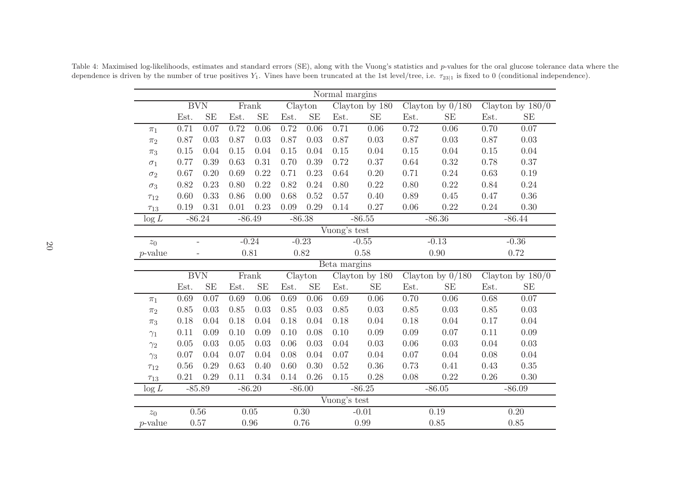<span id="page-19-0"></span>

|                     |              |                           |      |                    |      |              | Normal margins |                  |                    |                    |                    |                    |
|---------------------|--------------|---------------------------|------|--------------------|------|--------------|----------------|------------------|--------------------|--------------------|--------------------|--------------------|
|                     | <b>BVN</b>   |                           |      | Frank              |      | Clayton      | Clayton by 180 |                  | Clayton by $0/180$ |                    | Clayton by $180/0$ |                    |
|                     | Est.         | SE                        | Est. | <b>SE</b>          | Est. | $\rm SE$     | Est.           | $\rm SE$         | Est.               | $\rm SE$           | Est.               | $\rm SE$           |
| $\pi_1$             | 0.71         | 0.07                      | 0.72 | 0.06               | 0.72 | 0.06         | 0.71           | 0.06             | 0.72               | 0.06               | 0.70               | 0.07               |
| $\pi_2$             | 0.87         | 0.03                      | 0.87 | 0.03               | 0.87 | 0.03         | 0.87           | $0.03\,$         | 0.87               | 0.03               | 0.87               | 0.03               |
| $\pi_3$             | 0.15         | 0.04                      | 0.15 | 0.04               | 0.15 | 0.04         | 0.15           | 0.04             | $0.15\,$           | 0.04               | $0.15\,$           | 0.04               |
| $\sigma_1$          | 0.77         | 0.39                      | 0.63 | 0.31               | 0.70 | 0.39         | 0.72           | $0.37\,$         | 0.64               | 0.32               | 0.78               | $0.37\,$           |
| $\sigma_2$          | 0.67         | 0.20                      | 0.69 | 0.22               | 0.71 | 0.23         | 0.64           | 0.20             | 0.71               | $0.24\,$           | 0.63               | 0.19               |
| $\sigma_3$          | 0.82         | 0.23                      | 0.80 | 0.22               | 0.82 | 0.24         | 0.80           | 0.22             | 0.80               | 0.22               | 0.84               | 0.24               |
| $\tau_{12}$         | 0.60         | 0.33                      | 0.86 | 0.00               | 0.68 | 0.52         | 0.57           | 0.40             | 0.89               | 0.45               | 0.47               | 0.36               |
| $\tau_{13}$         | 0.19         | 0.31                      | 0.01 | 0.23               | 0.09 | 0.29         | 0.14           | 0.27             | 0.06               | 0.22               | 0.24               | $0.30\,$           |
| $\log L$            |              | $-86.24$                  |      | $-86.49$           |      | $-86.38$     |                | $-86.55$         |                    | $-86.36$           |                    | $-86.44$           |
|                     |              |                           |      |                    |      |              | Vuong's test   |                  |                    |                    |                    |                    |
| $z_0$               |              | $-0.24$<br>$\overline{a}$ |      | $-0.23$<br>$-0.55$ |      |              | $-0.13$        |                  | $-0.36$            |                    |                    |                    |
| $p$ -value          |              | 0.81<br>$\qquad \qquad -$ |      | 0.82<br>0.58       |      |              | 0.90           |                  | 0.72               |                    |                    |                    |
|                     | Beta margins |                           |      |                    |      |              |                |                  |                    |                    |                    |                    |
|                     |              |                           |      |                    |      |              |                |                  |                    |                    |                    |                    |
|                     |              | <b>BVN</b>                |      | Frank              |      | Clayton      |                | $Clayton$ by 180 |                    | Clayton by $0/180$ |                    | Clayton by $180/0$ |
|                     | Est.         | $\operatorname{SE}$       | Est. | <b>SE</b>          | Est. | $\rm SE$     | Est.           | $\rm SE$         | Est.               | $\rm SE$           | Est.               | $\rm SE$           |
| $\pi_1$             | 0.69         | 0.07                      | 0.69 | 0.06               | 0.69 | 0.06         | 0.69           | 0.06             | 0.70               | 0.06               | 0.68               | 0.07               |
| $\pi_2$             | 0.85         | 0.03                      | 0.85 | 0.03               | 0.85 | 0.03         | 0.85           | 0.03             | 0.85               | 0.03               | 0.85               | 0.03               |
| $\pi_3$             | 0.18         | 0.04                      | 0.18 | 0.04               | 0.18 | 0.04         | 0.18           | $0.04\,$         | 0.18               | $0.04\,$           | 0.17               | 0.04               |
| $\gamma_1$          | 0.11         | 0.09                      | 0.10 | 0.09               | 0.10 | 0.08         | 0.10           | 0.09             | 0.09               | 0.07               | 0.11               | 0.09               |
| $\gamma_2$          | 0.05         | 0.03                      | 0.05 | 0.03               | 0.06 | 0.03         | 0.04           | $0.03\,$         | $0.06\,$           | $0.03\,$           | $0.04\,$           | 0.03               |
| $\gamma_3$          | 0.07         | 0.04                      | 0.07 | 0.04               | 0.08 | 0.04         | 0.07           | $0.04\,$         | 0.07               | $0.04\,$           | 0.08               | 0.04               |
| $\tau_{12}$         | 0.56         | 0.29                      | 0.63 | 0.40               | 0.60 | 0.30         | 0.52           | 0.36             | 0.73               | 0.41               | 0.43               | $0.35\,$           |
| $\tau_{13}$         | 0.21         | 0.29                      | 0.11 | 0.34               | 0.14 | 0.26         | 0.15           | 0.28             | 0.08               | 0.22               | 0.26               | 0.30               |
| $\log L$            |              | $-85.89$                  |      | $-86.20$           |      | $-86.00$     |                | $-86.25$         |                    | $-86.05$           |                    | $-86.09$           |
|                     |              |                           |      |                    |      |              | Vuong's test   |                  |                    |                    |                    |                    |
| $z_0$<br>$p$ -value |              | $0.56\,$<br>0.57          |      | 0.05<br>0.96       |      | 0.30<br>0.76 |                | $-0.01$<br>0.99  |                    | 0.19<br>$0.85\,$   |                    | 0.20<br>0.85       |

Table 4: Maximised log-likelihoods, estimates and standard errors (SE), along with the Vuong's statistics and <sup>p</sup>-values for the oral <sup>g</sup>lucose tolerance data where the dependence is driven by the number of true positives  $Y_1$ . Vines have been truncated at the 1st level/tree, i.e.  $\tau_{23|1}$  is fixed to 0 (conditional independence).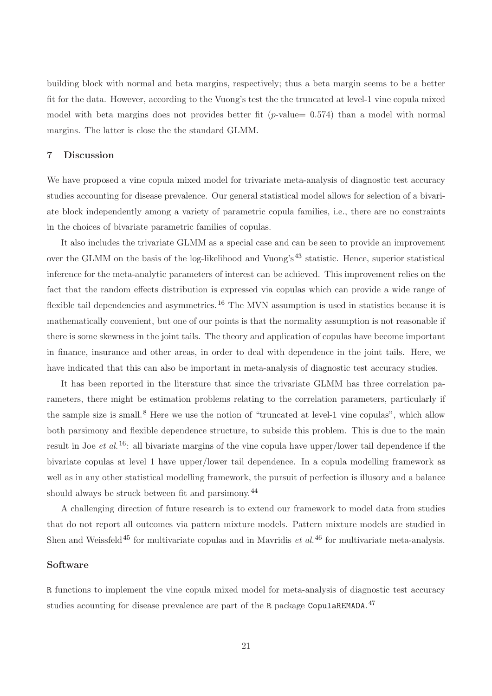building block with normal and beta margins, respectively; thus a beta margin seems to be a better fit for the data. However, according to the Vuong's test the the truncated at level-1 vine copula mixed model with beta margins does not provides better fit  $(p$ -value= 0.574) than a model with normal margins. The latter is close the the standard GLMM.

## <span id="page-20-0"></span>7 Discussion

We have proposed a vine copula mixed model for trivariate meta-analysis of diagnostic test accuracy studies accounting for disease prevalence. Our general statistical model allows for selection of a bivariate block independently among a variety of parametric copula families, i.e., there are no constraints in the choices of bivariate parametric families of copulas.

It also includes the trivariate GLMM as a special case and can be seen to provide an improvement over the GLMM on the basis of the log-likelihood and Vuong's<sup>[43](#page-22-11)</sup> statistic. Hence, superior statistical inference for the meta-analytic parameters of interest can be achieved. This improvement relies on the fact that the random effects distribution is expressed via copulas which can provide a wide range of flexible tail dependencies and asymmetries.<sup>[16](#page-21-12)</sup> The MVN assumption is used in statistics because it is mathematically convenient, but one of our points is that the normality assumption is not reasonable if there is some skewness in the joint tails. The theory and application of copulas have become important in finance, insurance and other areas, in order to deal with dependence in the joint tails. Here, we have indicated that this can also be important in meta-analysis of diagnostic test accuracy studies.

It has been reported in the literature that since the trivariate GLMM has three correlation parameters, there might be estimation problems relating to the correlation parameters, particularly if the sample size is small.<sup>[8](#page-21-5)</sup> Here we use the notion of "truncated at level-1 vine copulas", which allow both parsimony and flexible dependence structure, to subside this problem. This is due to the main result in Joe et al.<sup>[16](#page-21-12)</sup>: all bivariate margins of the vine copula have upper/lower tail dependence if the bivariate copulas at level 1 have upper/lower tail dependence. In a copula modelling framework as well as in any other statistical modelling framework, the pursuit of perfection is illusory and a balance should always be struck between fit and parsimony.[44](#page-22-12)

A challenging direction of future research is to extend our framework to model data from studies that do not report all outcomes via pattern mixture models. Pattern mixture models are studied in Shen and Weissfeld<sup>[45](#page-22-13)</sup> for multivariate copulas and in Mavridis  $et$   $al$ .<sup>[46](#page-22-14)</sup> for multivariate meta-analysis.

# Software

R functions to implement the vine copula mixed model for meta-analysis of diagnostic test accuracy studies acounting for disease prevalence are part of the R package CopulaREMADA.<sup>[47](#page-22-15)</sup>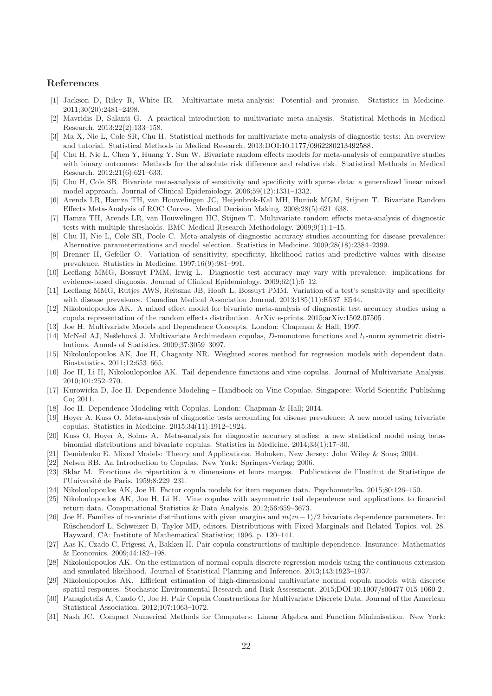#### References

- <span id="page-21-0"></span>[1] Jackson D, Riley R, White IR. Multivariate meta-analysis: Potential and promise. Statistics in Medicine. 2011;30(20):2481–2498.
- [2] Mavridis D, Salanti G. A practical introduction to multivariate meta-analysis. Statistical Methods in Medical Research. 2013;22(2):133–158.
- <span id="page-21-1"></span>[3] Ma X, Nie L, Cole SR, Chu H. Statistical methods for multivariate meta-analysis of diagnostic tests: An overview and tutorial. Statistical Methods in Medical Research. 2013[;DOI:10.1177/0962280213492588.](http://dx.doi.org/10.1177/0962280213492588)
- <span id="page-21-2"></span>[4] Chu H, Nie L, Chen Y, Huang Y, Sun W. Bivariate random effects models for meta-analysis of comparative studies with binary outcomes: Methods for the absolute risk difference and relative risk. Statistical Methods in Medical Research. 2012;21(6):621–633.
- <span id="page-21-3"></span>[5] Chu H, Cole SR. Bivariate meta-analysis of sensitivity and specificity with sparse data: a generalized linear mixed model approach. Journal of Clinical Epidemiology. 2006;59(12):1331–1332.
- [6] Arends LR, Hamza TH, van Houwelingen JC, Heijenbrok-Kal MH, Hunink MGM, Stijnen T. Bivariate Random Effects Meta-Analysis of ROC Curves. Medical Decision Making. 2008;28(5):621–638.
- <span id="page-21-4"></span>[7] Hamza TH, Arends LR, van Houwelingen HC, Stijnen T. Multivariate random effects meta-analysis of diagnostic tests with multiple thresholds. BMC Medical Research Methodology. 2009;9(1):1–15.
- <span id="page-21-5"></span>[8] Chu H, Nie L, Cole SR, Poole C. Meta-analysis of diagnostic accuracy studies accounting for disease prevalence: Alternative parameterizations and model selection. Statistics in Medicine. 2009;28(18):2384–2399.
- <span id="page-21-6"></span>[9] Brenner H, Gefeller O. Variation of sensitivity, specificity, likelihood ratios and predictive values with disease prevalence. Statistics in Medicine. 1997;16(9):981–991.
- [10] Leeflang MMG, Bossuyt PMM, Irwig L. Diagnostic test accuracy may vary with prevalence: implications for evidence-based diagnosis. Journal of Clinical Epidemiology. 2009;62(1):5–12.
- <span id="page-21-7"></span>[11] Leeflang MMG, Rutjes AWS, Reitsma JB, Hooft L, Bossuyt PMM. Variation of a test's sensitivity and specificity with disease prevalence. Canadian Medical Association Journal. 2013;185(11):E537–E544.
- <span id="page-21-8"></span>[12] Nikoloulopoulos AK. A mixed effect model for bivariate meta-analysis of diagnostic test accuracy studies using a copula representation of the random effects distribution. ArXiv e-prints. 2015[;arXiv:1502.07505.](http://arxiv.org/abs/1502.07505)
- <span id="page-21-9"></span>[13] Joe H. Multivariate Models and Dependence Concepts. London: Chapman & Hall; 1997.
- <span id="page-21-10"></span>[14] McNeil AJ, Nešlehová J. Multivariate Archimedean copulas, D-monotone functions and  $l_1$ -norm symmetric distributions. Annals of Statistics. 2009;37:3059–3097.
- <span id="page-21-11"></span>[15] Nikoloulopoulos AK, Joe H, Chaganty NR. Weighted scores method for regression models with dependent data. Biostatistics. 2011;12:653–665.
- <span id="page-21-12"></span>[16] Joe H, Li H, Nikoloulopoulos AK. Tail dependence functions and vine copulas. Journal of Multivariate Analysis. 2010;101:252–270.
- <span id="page-21-13"></span>[17] Kurowicka D, Joe H. Dependence Modeling – Handbook on Vine Copulae. Singapore: World Scientific Publishing Co; 2011.
- <span id="page-21-14"></span>[18] Joe H. Dependence Modeling with Copulas. London: Chapman & Hall; 2014.
- <span id="page-21-15"></span>[19] Hoyer A, Kuss O. Meta-analysis of diagnostic tests accounting for disease prevalence: A new model using trivariate copulas. Statistics in Medicine. 2015;34(11):1912–1924.
- <span id="page-21-16"></span>[20] Kuss O, Hoyer A, Solms A. Meta-analysis for diagnostic accuracy studies: a new statistical model using betabinomial distributions and bivariate copulas. Statistics in Medicine. 2014;33(1):17–30.
- <span id="page-21-17"></span>[21] Demidenko E. Mixed Models: Theory and Applications. Hoboken, New Jersey: John Wiley & Sons; 2004.
- <span id="page-21-18"></span>[22] Nelsen RB. An Introduction to Copulas. New York: Springer-Verlag; 2006.
- <span id="page-21-19"></span>[23] Sklar M. Fonctions de répartition à  $n$  dimensions et leurs marges. Publications de l'Institut de Statistique de l'Université de Paris. 1959;8:229–231.
- <span id="page-21-20"></span>[24] Nikoloulopoulos AK, Joe H. Factor copula models for item response data. Psychometrika. 2015;80:126–150.
- <span id="page-21-21"></span>[25] Nikoloulopoulos AK, Joe H, Li H. Vine copulas with asymmetric tail dependence and applications to financial return data. Computational Statistics & Data Analysis. 2012;56:659–3673.
- <span id="page-21-22"></span>[26] Joe H. Families of m-variate distributions with given margins and  $m(m-1)/2$  bivariate dependence parameters. In: Rüschendorf L, Schweizer B, Taylor MD, editors. Distributions with Fixed Marginals and Related Topics. vol. 28. Hayward, CA: Institute of Mathematical Statistics; 1996. p. 120–141.
- <span id="page-21-23"></span>[27] Aas K, Czado C, Frigessi A, Bakken H. Pair-copula constructions of multiple dependence. Insurance: Mathematics & Economics. 2009;44:182–198.
- <span id="page-21-24"></span>[28] Nikoloulopoulos AK. On the estimation of normal copula discrete regression models using the continuous extension and simulated likelihood. Journal of Statistical Planning and Inference. 2013;143:1923–1937.
- <span id="page-21-25"></span>[29] Nikoloulopoulos AK. Efficient estimation of high-dimensional multivariate normal copula models with discrete spatial responses. Stochastic Environmental Research and Risk Assessment. 2015[;DOI:10.1007/s00477-015-1060-2.](http://dx.doi.org/10.1007/s00477-015-1060-2)
- <span id="page-21-26"></span>[30] Panagiotelis A, Czado C, Joe H. Pair Copula Constructions for Multivariate Discrete Data. Journal of the American Statistical Association. 2012;107:1063–1072.
- <span id="page-21-27"></span>[31] Nash JC. Compact Numerical Methods for Computers: Linear Algebra and Function Minimisation. New York: